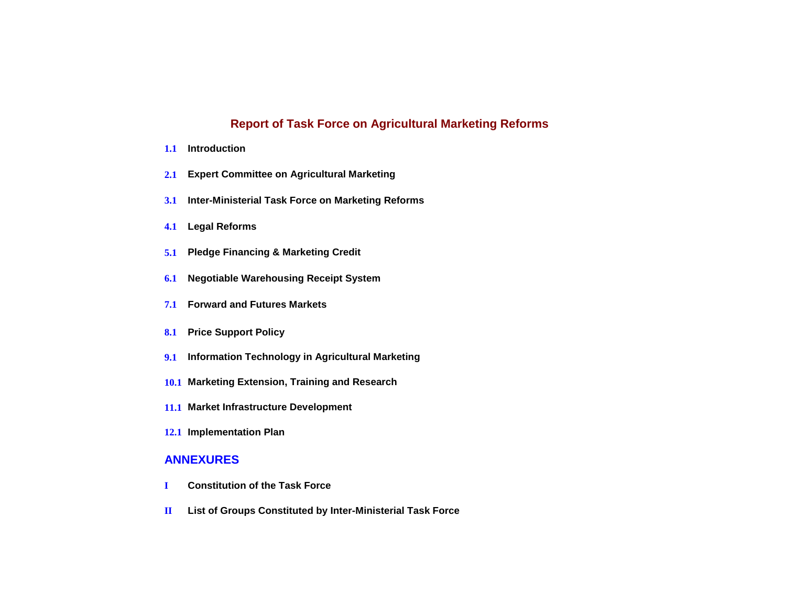## **Report of Task Force on Agricultural Marketing Reforms**

- **1.1 Introduction**
- **2.1 Expert Committee on Agricultural Marketing**
- **3.1 Inter-Ministerial Task Force on Marketing Reforms**
- **4.1 Legal Reforms**
- **5.1 Pledge Financing & Marketing Credit**
- **6.1 Negotiable Warehousing Receipt System**
- **7.1 Forward and Futures Markets**
- **8.1 Price Support Policy**
- **9.1 Information Technology in Agricultural Marketing**
- **10.1 Marketing Extension, Training and Research**
- **11.1 Market Infrastructure Development**
- **12.1 Implementation Plan**

## **ANNEXURES**

- **I Constitution of the Task Force**
- **II List of Groups Constituted by Inter-Ministerial Task Force**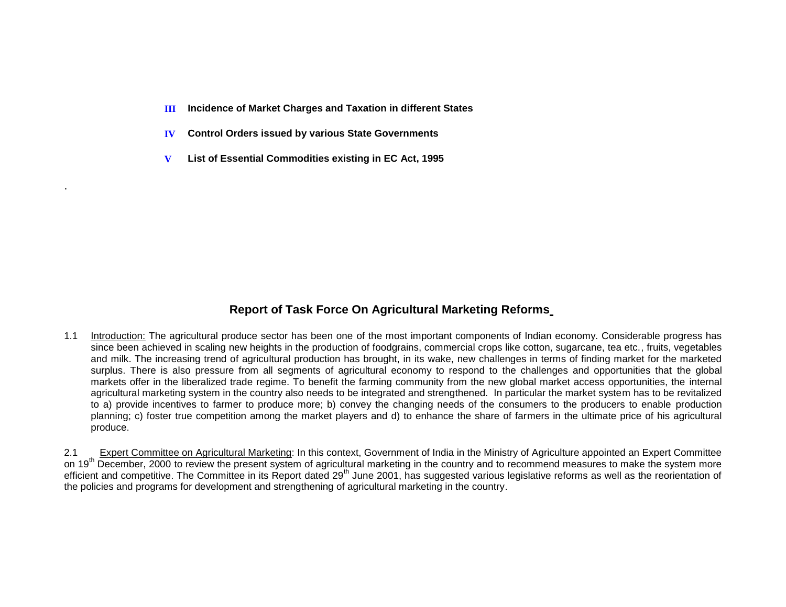- **III Incidence of Market Charges and Taxation in different States**
- **IV Control Orders issued by various State Governments**
- **V List of Essential Commodities existing in EC Act, 1995**

.

# **Report of Task Force On Agricultural Marketing Reforms**

1.1 Introduction: The agricultural produce sector has been one of the most important components of Indian economy. Considerable progress has since been achieved in scaling new heights in the production of foodgrains, commercial crops like cotton, sugarcane, tea etc., fruits, vegetables and milk. The increasing trend of agricultural production has brought, in its wake, new challenges in terms of finding market for the marketed surplus. There is also pressure from all segments of agricultural economy to respond to the challenges and opportunities that the global markets offer in the liberalized trade regime. To benefit the farming community from the new global market access opportunities, the internal agricultural marketing system in the country also needs to be integrated and strengthened. In particular the market system has to be revitalized to a) provide incentives to farmer to produce more; b) convey the changing needs of the consumers to the producers to enable production planning; c) foster true competition among the market players and d) to enhance the share of farmers in the ultimate price of his agricultural produce.

2.1 Expert Committee on Agricultural Marketing: In this context, Government of India in the Ministry of Agriculture appointed an Expert Committee on 19<sup>th</sup> December, 2000 to review the present system of agricultural marketing in the country and to recommend measures to make the system more efficient and competitive. The Committee in its Report dated 29<sup>th</sup> June 2001, has suggested various legislative reforms as well as the reorientation of the policies and programs for development and strengthening of agricultural marketing in the country.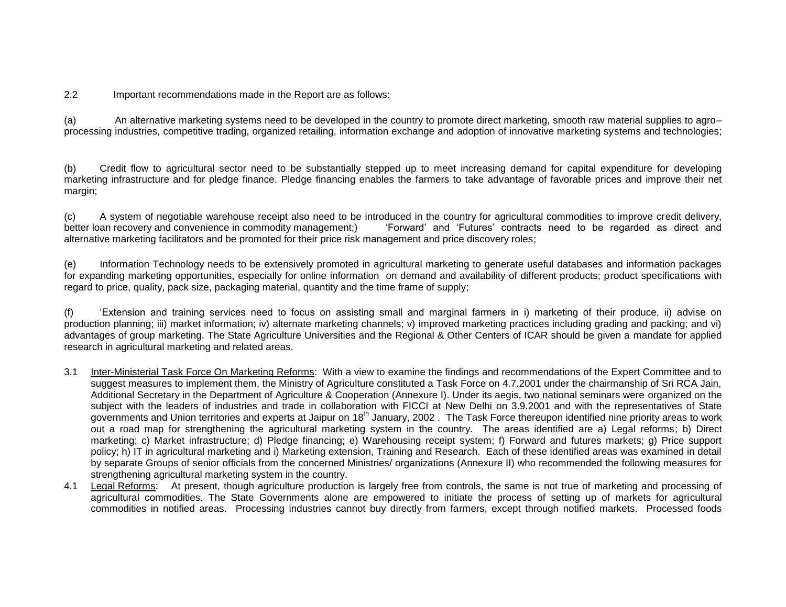2.2 Important recommendations made in the Report are as follows:

(a) An alternative marketing systems need to be developed in the country to promote direct marketing, smooth raw material supplies to agro– processing industries, competitive trading, organized retailing, information exchange and adoption of innovative marketing systems and technologies;

(b) Credit flow to agricultural sector need to be substantially stepped up to meet increasing demand for capital expenditure for developing marketing infrastructure and for pledge finance. Pledge financing enables the farmers to take advantage of favorable prices and improve their net margin;

(c) A system of negotiable warehouse receipt also need to be introduced in the country for agricultural commodities to improve credit delivery, better loan recovery and convenience in commodity management;) Forward' and 'Futures' contracts need to be regarded as direct and alternative marketing facilitators and be promoted for their price risk management and price discovery roles;

(e) Information Technology needs to be extensively promoted in agricultural marketing to generate useful databases and information packages for expanding marketing opportunities, especially for online information on demand and availability of different products; product specifications with regard to price, quality, pack size, packaging material, quantity and the time frame of supply;

(f) 'Extension and training services need to focus on assisting small and marginal farmers in i) marketing of their produce, ii) advise on production planning; iii) market information; iv) alternate marketing channels; v) improved marketing practices including grading and packing; and vi) advantages of group marketing. The State Agriculture Universities and the Regional & Other Centers of ICAR should be given a mandate for applied research in agricultural marketing and related areas.

- 3.1 Inter-Ministerial Task Force On Marketing Reforms: With a view to examine the findings and recommendations of the Expert Committee and to suggest measures to implement them, the Ministry of Agriculture constituted a Task Force on 4.7.2001 under the chairmanship of Sri RCA Jain, Additional Secretary in the Department of Agriculture & Cooperation (Annexure I). Under its aegis, two national seminars were organized on the subject with the leaders of industries and trade in collaboration with FICCI at New Delhi on 3.9.2001 and with the representatives of State governments and Union territories and experts at Jaipur on 18<sup>th</sup> January, 2002. The Task Force thereupon identified nine priority areas to work out a road map for strengthening the agricultural marketing system in the country. The areas identified are a) Legal reforms; b) Direct marketing; c) Market infrastructure; d) Pledge financing; e) Warehousing receipt system; f) Forward and futures markets; g) Price support policy; h) IT in agricultural marketing and i) Marketing extension, Training and Research. Each of these identified areas was examined in detail by separate Groups of senior officials from the concerned Ministries/ organizations (Annexure II) who recommended the following measures for strengthening agricultural marketing system in the country.
- 4.1 Legal Reforms: At present, though agriculture production is largely free from controls, the same is not true of marketing and processing of agricultural commodities. The State Governments alone are empowered to initiate the process of setting up of markets for agricultural commodities in notified areas. Processing industries cannot buy directly from farmers, except through notified markets. Processed foods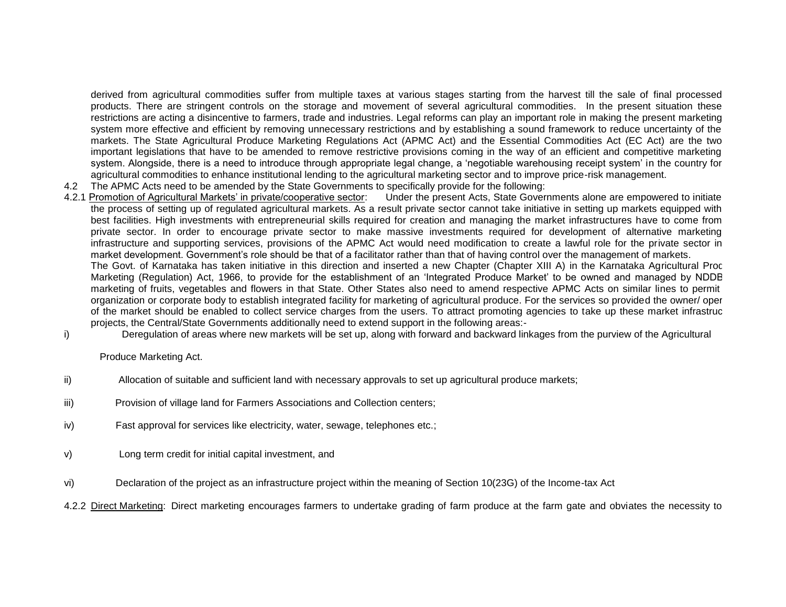derived from agricultural commodities suffer from multiple taxes at various stages starting from the harvest till the sale of final processed products. There are stringent controls on the storage and movement of several agricultural commodities. In the present situation these restrictions are acting a disincentive to farmers, trade and industries. Legal reforms can play an important role in making the present marketing system more effective and efficient by removing unnecessary restrictions and by establishing a sound framework to reduce uncertainty of the markets. The State Agricultural Produce Marketing Regulations Act (APMC Act) and the Essential Commodities Act (EC Act) are the two important legislations that have to be amended to remove restrictive provisions coming in the way of an efficient and competitive marketing system. Alongside, there is a need to introduce through appropriate legal change, a 'negotiable warehousing receipt system' in the country for agricultural commodities to enhance institutional lending to the agricultural marketing sector and to improve price-risk management.

4.2 The APMC Acts need to be amended by the State Governments to specifically provide for the following:

4.2.1 Promotion of Agricultural Markets' in private/cooperative sector: Under the present Acts, State Governments alone are empowered to initiate the process of setting up of regulated agricultural markets. As a result private sector cannot take initiative in setting up markets equipped with best facilities. High investments with entrepreneurial skills required for creation and managing the market infrastructures have to come from private sector. In order to encourage private sector to make massive investments required for development of alternative marketing infrastructure and supporting services, provisions of the APMC Act would need modification to create a lawful role for the private sector in market development. Government's role should be that of a facilitator rather than that of having control over the management of markets.

The Govt. of Karnataka has taken initiative in this direction and inserted a new Chapter (Chapter XIII A) in the Karnataka Agricultural Produce Marketing (Regulation) Act, 1966, to provide for the establishment of an 'Integrated Produce Market' to be owned and managed by NDDB marketing of fruits, vegetables and flowers in that State. Other States also need to amend respective APMC Acts on similar lines to permit organization or corporate body to establish integrated facility for marketing of agricultural produce. For the services so provided the owner/ oper of the market should be enabled to collect service charges from the users. To attract promoting agencies to take up these market infrastruc projects, the Central/State Governments additionally need to extend support in the following areas:-

i) Deregulation of areas where new markets will be set up, along with forward and backward linkages from the purview of the Agricultural

Produce Marketing Act.

- ii) Allocation of suitable and sufficient land with necessary approvals to set up agricultural produce markets;
- iii) Provision of village land for Farmers Associations and Collection centers;
- iv) Fast approval for services like electricity, water, sewage, telephones etc.;
- v) Long term credit for initial capital investment, and
- vi) Declaration of the project as an infrastructure project within the meaning of Section 10(23G) of the Income-tax Act

4.2.2 Direct Marketing: Direct marketing encourages farmers to undertake grading of farm produce at the farm gate and obviates the necessity to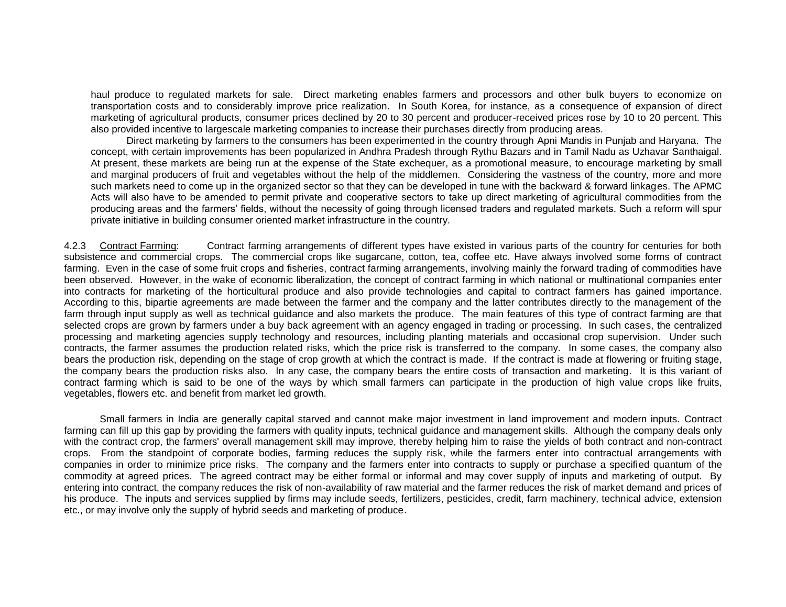haul produce to regulated markets for sale. Direct marketing enables farmers and processors and other bulk buyers to economize on transportation costs and to considerably improve price realization. In South Korea, for instance, as a consequence of expansion of direct marketing of agricultural products, consumer prices declined by 20 to 30 percent and producer-received prices rose by 10 to 20 percent. This also provided incentive to largescale marketing companies to increase their purchases directly from producing areas.

Direct marketing by farmers to the consumers has been experimented in the country through Apni Mandis in Punjab and Haryana. The concept, with certain improvements has been popularized in Andhra Pradesh through Rythu Bazars and in Tamil Nadu as Uzhavar Santhaigal. At present, these markets are being run at the expense of the State exchequer, as a promotional measure, to encourage marketing by small and marginal producers of fruit and vegetables without the help of the middlemen. Considering the vastness of the country, more and more such markets need to come up in the organized sector so that they can be developed in tune with the backward & forward linkages. The APMC Acts will also have to be amended to permit private and cooperative sectors to take up direct marketing of agricultural commodities from the producing areas and the farmers' fields, without the necessity of going through licensed traders and regulated markets. Such a reform will spur private initiative in building consumer oriented market infrastructure in the country.

4.2.3 Contract Farming: Contract farming arrangements of different types have existed in various parts of the country for centuries for both subsistence and commercial crops. The commercial crops like sugarcane, cotton, tea, coffee etc. Have always involved some forms of contract farming. Even in the case of some fruit crops and fisheries, contract farming arrangements, involving mainly the forward trading of commodities have been observed. However, in the wake of economic liberalization, the concept of contract farming in which national or multinational companies enter into contracts for marketing of the horticultural produce and also provide technologies and capital to contract farmers has gained importance. According to this, bipartie agreements are made between the farmer and the company and the latter contributes directly to the management of the farm through input supply as well as technical guidance and also markets the produce. The main features of this type of contract farming are that selected crops are grown by farmers under a buy back agreement with an agency engaged in trading or processing. In such cases, the centralized processing and marketing agencies supply technology and resources, including planting materials and occasional crop supervision. Under such contracts, the farmer assumes the production related risks, which the price risk is transferred to the company. In some cases, the company also bears the production risk, depending on the stage of crop growth at which the contract is made. If the contract is made at flowering or fruiting stage, the company bears the production risks also. In any case, the company bears the entire costs of transaction and marketing. It is this variant of contract farming which is said to be one of the ways by which small farmers can participate in the production of high value crops like fruits, vegetables, flowers etc. and benefit from market led growth.

Small farmers in India are generally capital starved and cannot make major investment in land improvement and modern inputs. Contract farming can fill up this gap by providing the farmers with quality inputs, technical guidance and management skills. Although the company deals only with the contract crop, the farmers' overall management skill may improve, thereby helping him to raise the yields of both contract and non-contract crops. From the standpoint of corporate bodies, farming reduces the supply risk, while the farmers enter into contractual arrangements with companies in order to minimize price risks. The company and the farmers enter into contracts to supply or purchase a specified quantum of the commodity at agreed prices. The agreed contract may be either formal or informal and may cover supply of inputs and marketing of output. By entering into contract, the company reduces the risk of non-availability of raw material and the farmer reduces the risk of market demand and prices of his produce. The inputs and services supplied by firms may include seeds, fertilizers, pesticides, credit, farm machinery, technical advice, extension etc., or may involve only the supply of hybrid seeds and marketing of produce.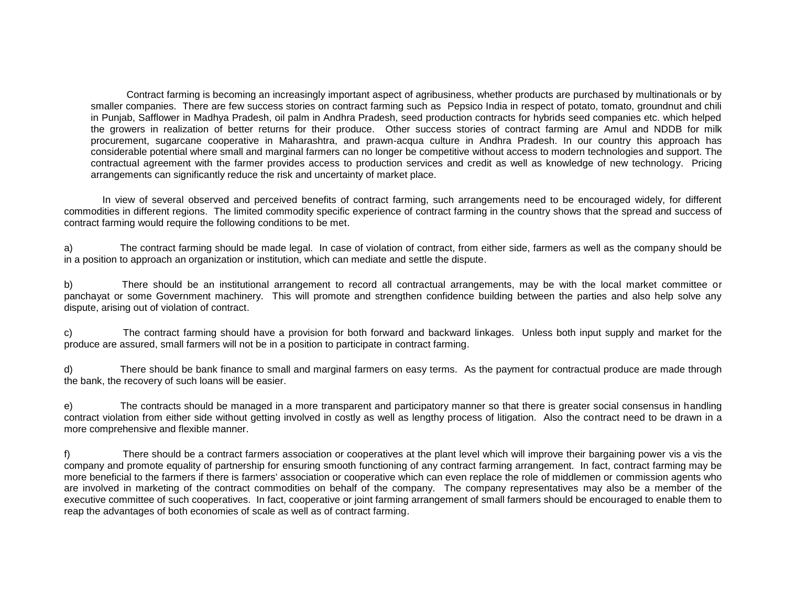Contract farming is becoming an increasingly important aspect of agribusiness, whether products are purchased by multinationals or by smaller companies. There are few success stories on contract farming such as Pepsico India in respect of potato, tomato, groundnut and chili in Punjab, Safflower in Madhya Pradesh, oil palm in Andhra Pradesh, seed production contracts for hybrids seed companies etc. which helped the growers in realization of better returns for their produce. Other success stories of contract farming are Amul and NDDB for milk procurement, sugarcane cooperative in Maharashtra, and prawn-acqua culture in Andhra Pradesh. In our country this approach has considerable potential where small and marginal farmers can no longer be competitive without access to modern technologies and support. The contractual agreement with the farmer provides access to production services and credit as well as knowledge of new technology. Pricing arrangements can significantly reduce the risk and uncertainty of market place.

In view of several observed and perceived benefits of contract farming, such arrangements need to be encouraged widely, for different commodities in different regions. The limited commodity specific experience of contract farming in the country shows that the spread and success of contract farming would require the following conditions to be met.

a) The contract farming should be made legal. In case of violation of contract, from either side, farmers as well as the company should be in a position to approach an organization or institution, which can mediate and settle the dispute.

b) There should be an institutional arrangement to record all contractual arrangements, may be with the local market committee or panchayat or some Government machinery. This will promote and strengthen confidence building between the parties and also help solve any dispute, arising out of violation of contract.

c) The contract farming should have a provision for both forward and backward linkages. Unless both input supply and market for the produce are assured, small farmers will not be in a position to participate in contract farming.

d) There should be bank finance to small and marginal farmers on easy terms. As the payment for contractual produce are made through the bank, the recovery of such loans will be easier.

e) The contracts should be managed in a more transparent and participatory manner so that there is greater social consensus in handling contract violation from either side without getting involved in costly as well as lengthy process of litigation. Also the contract need to be drawn in a more comprehensive and flexible manner.

f) There should be a contract farmers association or cooperatives at the plant level which will improve their bargaining power vis a vis the company and promote equality of partnership for ensuring smooth functioning of any contract farming arrangement. In fact, contract farming may be more beneficial to the farmers if there is farmers' association or cooperative which can even replace the role of middlemen or commission agents who are involved in marketing of the contract commodities on behalf of the company. The company representatives may also be a member of the executive committee of such cooperatives. In fact, cooperative or joint farming arrangement of small farmers should be encouraged to enable them to reap the advantages of both economies of scale as well as of contract farming.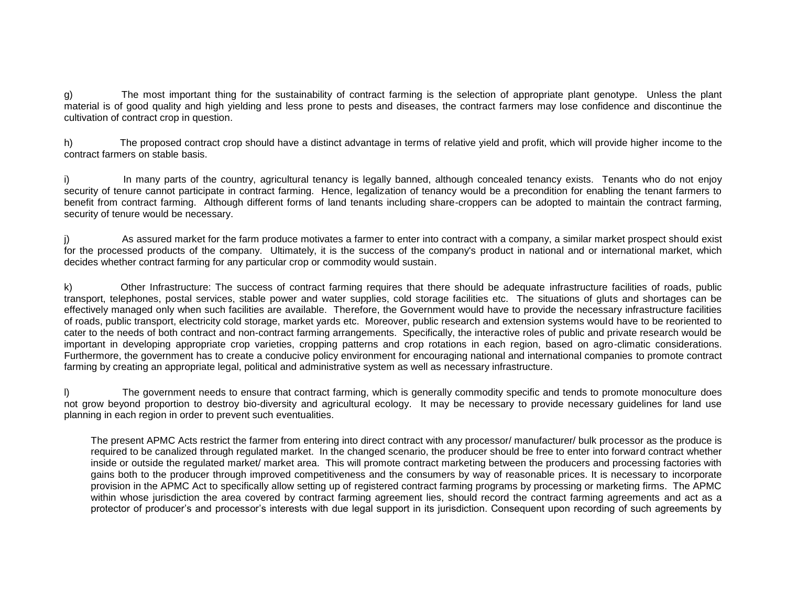g) The most important thing for the sustainability of contract farming is the selection of appropriate plant genotype. Unless the plant material is of good quality and high yielding and less prone to pests and diseases, the contract farmers may lose confidence and discontinue the cultivation of contract crop in question.

h) The proposed contract crop should have a distinct advantage in terms of relative yield and profit, which will provide higher income to the contract farmers on stable basis.

i) In many parts of the country, agricultural tenancy is legally banned, although concealed tenancy exists. Tenants who do not enjoy security of tenure cannot participate in contract farming. Hence, legalization of tenancy would be a precondition for enabling the tenant farmers to benefit from contract farming. Although different forms of land tenants including share-croppers can be adopted to maintain the contract farming, security of tenure would be necessary.

j) As assured market for the farm produce motivates a farmer to enter into contract with a company, a similar market prospect should exist for the processed products of the company. Ultimately, it is the success of the company's product in national and or international market, which decides whether contract farming for any particular crop or commodity would sustain.

k) Other Infrastructure: The success of contract farming requires that there should be adequate infrastructure facilities of roads, public transport, telephones, postal services, stable power and water supplies, cold storage facilities etc. The situations of gluts and shortages can be effectively managed only when such facilities are available. Therefore, the Government would have to provide the necessary infrastructure facilities of roads, public transport, electricity cold storage, market yards etc. Moreover, public research and extension systems would have to be reoriented to cater to the needs of both contract and non-contract farming arrangements. Specifically, the interactive roles of public and private research would be important in developing appropriate crop varieties, cropping patterns and crop rotations in each region, based on agro-climatic considerations. Furthermore, the government has to create a conducive policy environment for encouraging national and international companies to promote contract farming by creating an appropriate legal, political and administrative system as well as necessary infrastructure.

l) The government needs to ensure that contract farming, which is generally commodity specific and tends to promote monoculture does not grow beyond proportion to destroy bio-diversity and agricultural ecology. It may be necessary to provide necessary guidelines for land use planning in each region in order to prevent such eventualities.

The present APMC Acts restrict the farmer from entering into direct contract with any processor/ manufacturer/ bulk processor as the produce is required to be canalized through regulated market. In the changed scenario, the producer should be free to enter into forward contract whether inside or outside the regulated market/ market area. This will promote contract marketing between the producers and processing factories with gains both to the producer through improved competitiveness and the consumers by way of reasonable prices. It is necessary to incorporate provision in the APMC Act to specifically allow setting up of registered contract farming programs by processing or marketing firms. The APMC within whose jurisdiction the area covered by contract farming agreement lies, should record the contract farming agreements and act as a protector of producer's and processor's interests with due legal support in its jurisdiction. Consequent upon recording of such agreements by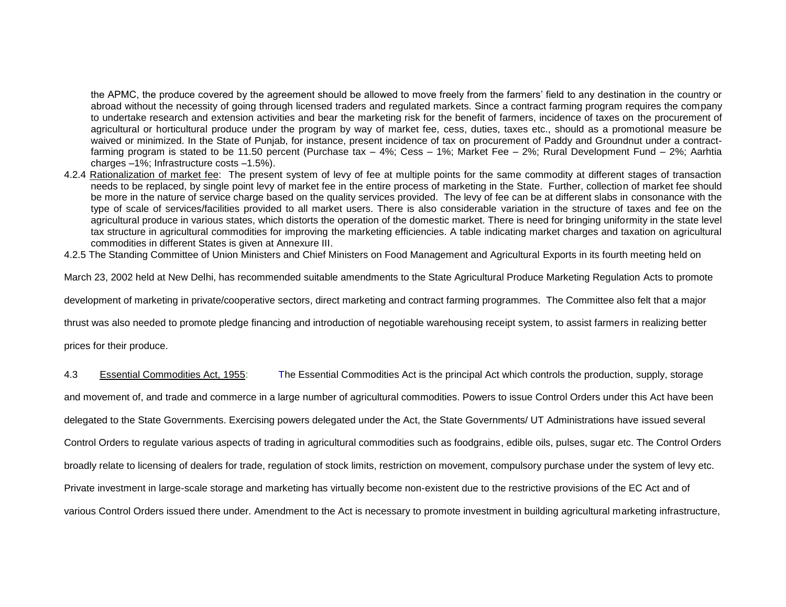the APMC, the produce covered by the agreement should be allowed to move freely from the farmers' field to any destination in the country or abroad without the necessity of going through licensed traders and regulated markets. Since a contract farming program requires the company to undertake research and extension activities and bear the marketing risk for the benefit of farmers, incidence of taxes on the procurement of agricultural or horticultural produce under the program by way of market fee, cess, duties, taxes etc., should as a promotional measure be waived or minimized. In the State of Punjab, for instance, present incidence of tax on procurement of Paddy and Groundnut under a contractfarming program is stated to be 11.50 percent (Purchase tax – 4%; Cess – 1%; Market Fee – 2%; Rural Development Fund – 2%; Aarhtia charges –1%; Infrastructure costs –1.5%).

4.2.4 Rationalization of market fee: The present system of levy of fee at multiple points for the same commodity at different stages of transaction needs to be replaced, by single point levy of market fee in the entire process of marketing in the State. Further, collection of market fee should be more in the nature of service charge based on the quality services provided. The levy of fee can be at different slabs in consonance with the type of scale of services/facilities provided to all market users. There is also considerable variation in the structure of taxes and fee on the agricultural produce in various states, which distorts the operation of the domestic market. There is need for bringing uniformity in the state level tax structure in agricultural commodities for improving the marketing efficiencies. A table indicating market charges and taxation on agricultural commodities in different States is given at Annexure III.

4.2.5 The Standing Committee of Union Ministers and Chief Ministers on Food Management and Agricultural Exports in its fourth meeting held on

March 23, 2002 held at New Delhi, has recommended suitable amendments to the State Agricultural Produce Marketing Regulation Acts to promote

development of marketing in private/cooperative sectors, direct marketing and contract farming programmes. The Committee also felt that a major

thrust was also needed to promote pledge financing and introduction of negotiable warehousing receipt system, to assist farmers in realizing better

prices for their produce.

4.3 Essential Commodities Act, 1955: The Essential Commodities Act is the principal Act which controls the production, supply, storage

and movement of, and trade and commerce in a large number of agricultural commodities. Powers to issue Control Orders under this Act have been

delegated to the State Governments. Exercising powers delegated under the Act, the State Governments/ UT Administrations have issued several

Control Orders to regulate various aspects of trading in agricultural commodities such as foodgrains, edible oils, pulses, sugar etc. The Control Orders

broadly relate to licensing of dealers for trade, regulation of stock limits, restriction on movement, compulsory purchase under the system of levy etc.

Private investment in large-scale storage and marketing has virtually become non-existent due to the restrictive provisions of the EC Act and of

various Control Orders issued there under. Amendment to the Act is necessary to promote investment in building agricultural marketing infrastructure,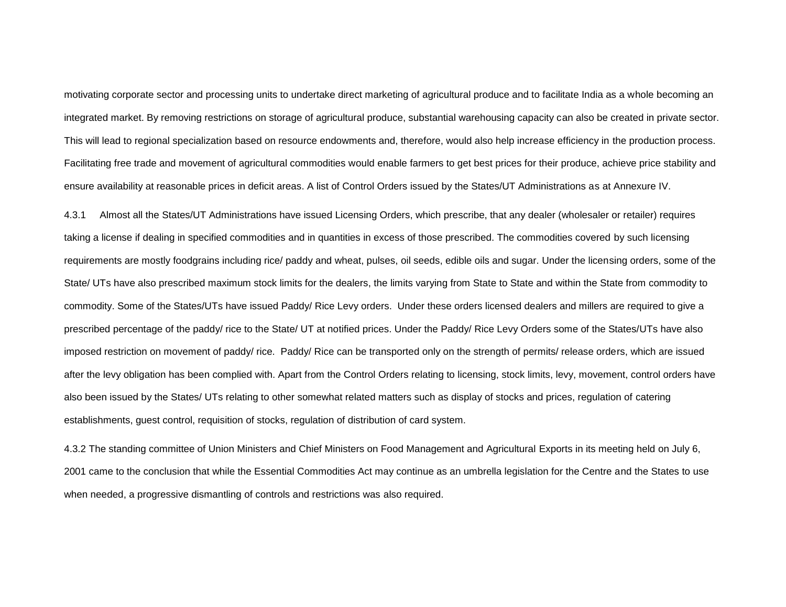motivating corporate sector and processing units to undertake direct marketing of agricultural produce and to facilitate India as a whole becoming an integrated market. By removing restrictions on storage of agricultural produce, substantial warehousing capacity can also be created in private sector. This will lead to regional specialization based on resource endowments and, therefore, would also help increase efficiency in the production process. Facilitating free trade and movement of agricultural commodities would enable farmers to get best prices for their produce, achieve price stability and ensure availability at reasonable prices in deficit areas. A list of Control Orders issued by the States/UT Administrations as at Annexure IV.

4.3.1 Almost all the States/UT Administrations have issued Licensing Orders, which prescribe, that any dealer (wholesaler or retailer) requires taking a license if dealing in specified commodities and in quantities in excess of those prescribed. The commodities covered by such licensing requirements are mostly foodgrains including rice/ paddy and wheat, pulses, oil seeds, edible oils and sugar. Under the licensing orders, some of the State/ UTs have also prescribed maximum stock limits for the dealers, the limits varying from State to State and within the State from commodity to commodity. Some of the States/UTs have issued Paddy/ Rice Levy orders. Under these orders licensed dealers and millers are required to give a prescribed percentage of the paddy/ rice to the State/ UT at notified prices. Under the Paddy/ Rice Levy Orders some of the States/UTs have also imposed restriction on movement of paddy/ rice. Paddy/ Rice can be transported only on the strength of permits/ release orders, which are issued after the levy obligation has been complied with. Apart from the Control Orders relating to licensing, stock limits, levy, movement, control orders have also been issued by the States/ UTs relating to other somewhat related matters such as display of stocks and prices, regulation of catering establishments, guest control, requisition of stocks, regulation of distribution of card system.

4.3.2 The standing committee of Union Ministers and Chief Ministers on Food Management and Agricultural Exports in its meeting held on July 6, 2001 came to the conclusion that while the Essential Commodities Act may continue as an umbrella legislation for the Centre and the States to use when needed, a progressive dismantling of controls and restrictions was also required.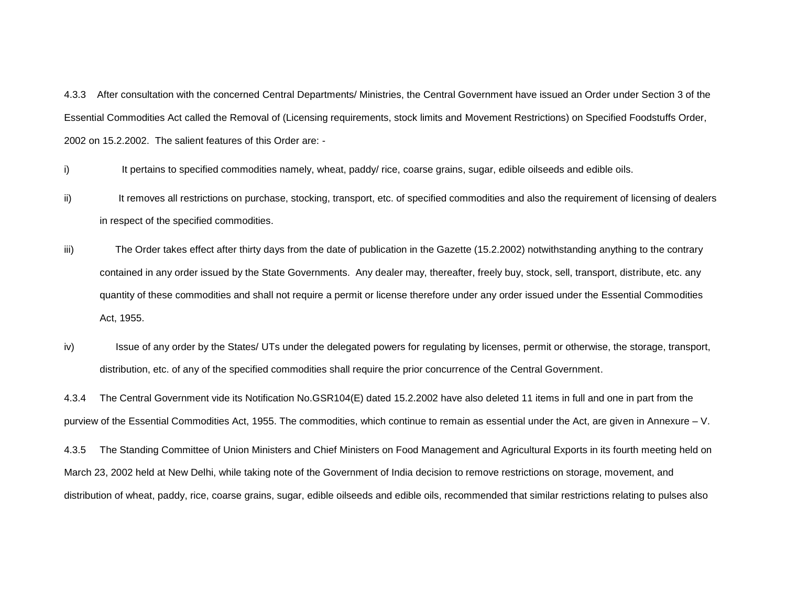4.3.3 After consultation with the concerned Central Departments/ Ministries, the Central Government have issued an Order under Section 3 of the Essential Commodities Act called the Removal of (Licensing requirements, stock limits and Movement Restrictions) on Specified Foodstuffs Order, 2002 on 15.2.2002. The salient features of this Order are: -

- i) It pertains to specified commodities namely, wheat, paddy/ rice, coarse grains, sugar, edible oilseeds and edible oils.
- ii) It removes all restrictions on purchase, stocking, transport, etc. of specified commodities and also the requirement of licensing of dealers in respect of the specified commodities.
- iii) The Order takes effect after thirty days from the date of publication in the Gazette (15.2.2002) notwithstanding anything to the contrary contained in any order issued by the State Governments. Any dealer may, thereafter, freely buy, stock, sell, transport, distribute, etc. any quantity of these commodities and shall not require a permit or license therefore under any order issued under the Essential Commodities Act, 1955.
- iv) Issue of any order by the States/ UTs under the delegated powers for regulating by licenses, permit or otherwise, the storage, transport, distribution, etc. of any of the specified commodities shall require the prior concurrence of the Central Government.

4.3.4 The Central Government vide its Notification No.GSR104(E) dated 15.2.2002 have also deleted 11 items in full and one in part from the purview of the Essential Commodities Act, 1955. The commodities, which continue to remain as essential under the Act, are given in Annexure – V.

4.3.5 The Standing Committee of Union Ministers and Chief Ministers on Food Management and Agricultural Exports in its fourth meeting held on March 23, 2002 held at New Delhi, while taking note of the Government of India decision to remove restrictions on storage, movement, and distribution of wheat, paddy, rice, coarse grains, sugar, edible oilseeds and edible oils, recommended that similar restrictions relating to pulses also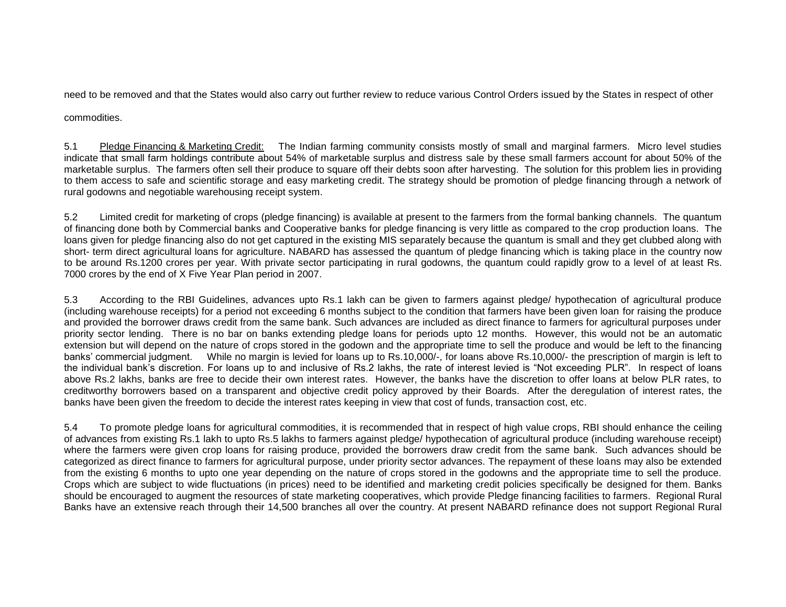need to be removed and that the States would also carry out further review to reduce various Control Orders issued by the States in respect of other

commodities.

5.1 Pledge Financing & Marketing Credit: The Indian farming community consists mostly of small and marginal farmers. Micro level studies indicate that small farm holdings contribute about 54% of marketable surplus and distress sale by these small farmers account for about 50% of the marketable surplus. The farmers often sell their produce to square off their debts soon after harvesting. The solution for this problem lies in providing to them access to safe and scientific storage and easy marketing credit. The strategy should be promotion of pledge financing through a network of rural godowns and negotiable warehousing receipt system.

5.2 Limited credit for marketing of crops (pledge financing) is available at present to the farmers from the formal banking channels. The quantum of financing done both by Commercial banks and Cooperative banks for pledge financing is very little as compared to the crop production loans. The loans given for pledge financing also do not get captured in the existing MIS separately because the quantum is small and they get clubbed along with short- term direct agricultural loans for agriculture. NABARD has assessed the quantum of pledge financing which is taking place in the country now to be around Rs.1200 crores per year. With private sector participating in rural godowns, the quantum could rapidly grow to a level of at least Rs. 7000 crores by the end of X Five Year Plan period in 2007.

5.3 According to the RBI Guidelines, advances upto Rs.1 lakh can be given to farmers against pledge/ hypothecation of agricultural produce (including warehouse receipts) for a period not exceeding 6 months subject to the condition that farmers have been given loan for raising the produce and provided the borrower draws credit from the same bank. Such advances are included as direct finance to farmers for agricultural purposes under priority sector lending. There is no bar on banks extending pledge loans for periods upto 12 months. However, this would not be an automatic extension but will depend on the nature of crops stored in the godown and the appropriate time to sell the produce and would be left to the financing banks' commercial judgment. While no margin is levied for loans up to Rs.10,000/-, for loans above Rs.10,000/- the prescription of margin is left to the individual bank's discretion. For loans up to and inclusive of Rs.2 lakhs, the rate of interest levied is "Not exceeding PLR". In respect of loans above Rs.2 lakhs, banks are free to decide their own interest rates. However, the banks have the discretion to offer loans at below PLR rates, to creditworthy borrowers based on a transparent and objective credit policy approved by their Boards. After the deregulation of interest rates, the banks have been given the freedom to decide the interest rates keeping in view that cost of funds, transaction cost, etc.

5.4 To promote pledge loans for agricultural commodities, it is recommended that in respect of high value crops, RBI should enhance the ceiling of advances from existing Rs.1 lakh to upto Rs.5 lakhs to farmers against pledge/ hypothecation of agricultural produce (including warehouse receipt) where the farmers were given crop loans for raising produce, provided the borrowers draw credit from the same bank. Such advances should be categorized as direct finance to farmers for agricultural purpose, under priority sector advances. The repayment of these loans may also be extended from the existing 6 months to upto one year depending on the nature of crops stored in the godowns and the appropriate time to sell the produce. Crops which are subject to wide fluctuations (in prices) need to be identified and marketing credit policies specifically be designed for them. Banks should be encouraged to augment the resources of state marketing cooperatives, which provide Pledge financing facilities to farmers. Regional Rural Banks have an extensive reach through their 14,500 branches all over the country. At present NABARD refinance does not support Regional Rural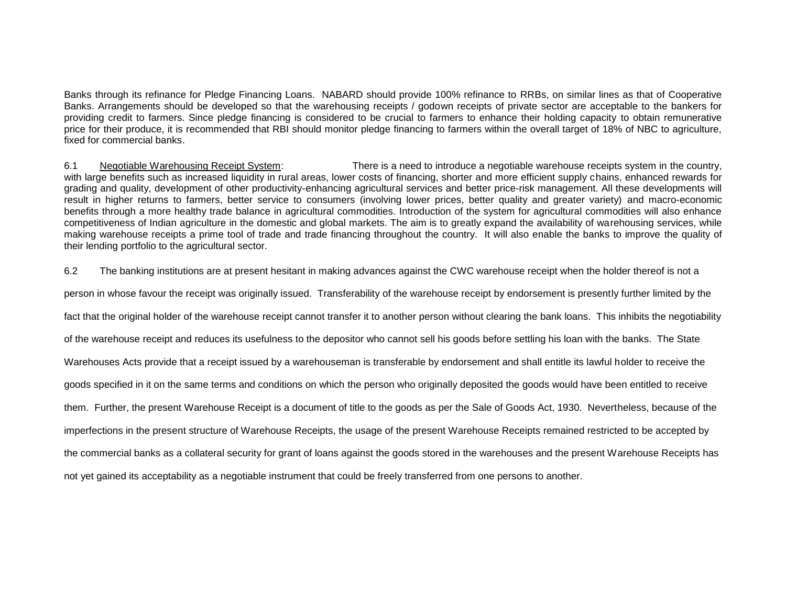Banks through its refinance for Pledge Financing Loans. NABARD should provide 100% refinance to RRBs, on similar lines as that of Cooperative Banks. Arrangements should be developed so that the warehousing receipts / godown receipts of private sector are acceptable to the bankers for providing credit to farmers. Since pledge financing is considered to be crucial to farmers to enhance their holding capacity to obtain remunerative price for their produce, it is recommended that RBI should monitor pledge financing to farmers within the overall target of 18% of NBC to agriculture, fixed for commercial banks.

6.1 Negotiable Warehousing Receipt System: There is a need to introduce a negotiable warehouse receipts system in the country, with large benefits such as increased liquidity in rural areas, lower costs of financing, shorter and more efficient supply chains, enhanced rewards for grading and quality, development of other productivity-enhancing agricultural services and better price-risk management. All these developments will result in higher returns to farmers, better service to consumers (involving lower prices, better quality and greater variety) and macro-economic benefits through a more healthy trade balance in agricultural commodities. Introduction of the system for agricultural commodities will also enhance competitiveness of Indian agriculture in the domestic and global markets. The aim is to greatly expand the availability of warehousing services, while making warehouse receipts a prime tool of trade and trade financing throughout the country. It will also enable the banks to improve the quality of their lending portfolio to the agricultural sector.

6.2 The banking institutions are at present hesitant in making advances against the CWC warehouse receipt when the holder thereof is not a

person in whose favour the receipt was originally issued. Transferability of the warehouse receipt by endorsement is presently further limited by the

fact that the original holder of the warehouse receipt cannot transfer it to another person without clearing the bank loans. This inhibits the negotiability

of the warehouse receipt and reduces its usefulness to the depositor who cannot sell his goods before settling his loan with the banks. The State

Warehouses Acts provide that a receipt issued by a warehouseman is transferable by endorsement and shall entitle its lawful holder to receive the

goods specified in it on the same terms and conditions on which the person who originally deposited the goods would have been entitled to receive

them. Further, the present Warehouse Receipt is a document of title to the goods as per the Sale of Goods Act, 1930. Nevertheless, because of the

imperfections in the present structure of Warehouse Receipts, the usage of the present Warehouse Receipts remained restricted to be accepted by

the commercial banks as a collateral security for grant of loans against the goods stored in the warehouses and the present Warehouse Receipts has

not yet gained its acceptability as a negotiable instrument that could be freely transferred from one persons to another.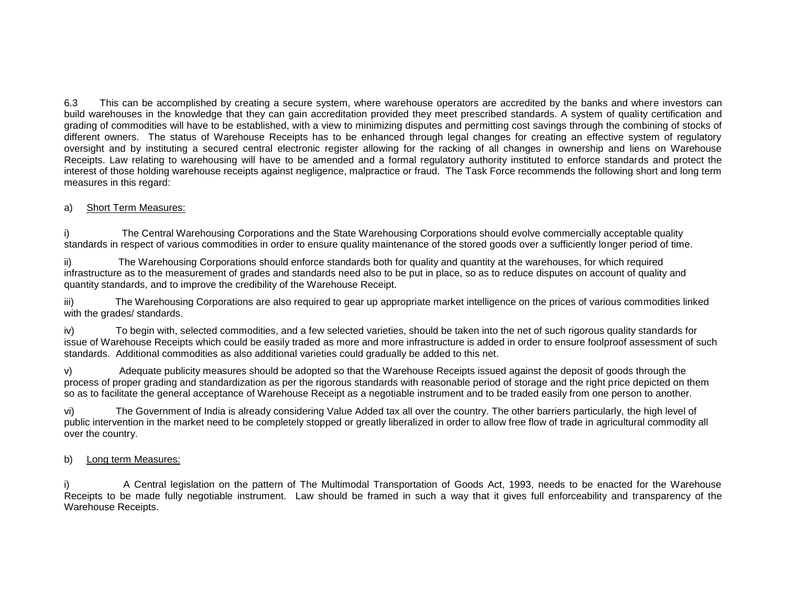6.3 This can be accomplished by creating a secure system, where warehouse operators are accredited by the banks and where investors can build warehouses in the knowledge that they can gain accreditation provided they meet prescribed standards. A system of quality certification and grading of commodities will have to be established, with a view to minimizing disputes and permitting cost savings through the combining of stocks of different owners.The status of Warehouse Receipts has to be enhanced through legal changes for creating an effective system of regulatory oversight and by instituting a secured central electronic register allowing for the racking of all changes in ownership and liens on Warehouse Receipts. Law relating to warehousing will have to be amended and a formal regulatory authority instituted to enforce standards and protect the interest of those holding warehouse receipts against negligence, malpractice or fraud. The Task Force recommends the following short and long term measures in this regard:

#### a) Short Term Measures:

i) The Central Warehousing Corporations and the State Warehousing Corporations should evolve commercially acceptable quality standards in respect of various commodities in order to ensure quality maintenance of the stored goods over a sufficiently longer period of time.

ii) The Warehousing Corporations should enforce standards both for quality and quantity at the warehouses, for which required infrastructure as to the measurement of grades and standards need also to be put in place, so as to reduce disputes on account of quality and quantity standards, and to improve the credibility of the Warehouse Receipt.

iii) The Warehousing Corporations are also required to gear up appropriate market intelligence on the prices of various commodities linked with the grades/ standards.

iv) To begin with, selected commodities, and a few selected varieties, should be taken into the net of such rigorous quality standards for issue of Warehouse Receipts which could be easily traded as more and more infrastructure is added in order to ensure foolproof assessment of such standards. Additional commodities as also additional varieties could gradually be added to this net.

v) Adequate publicity measures should be adopted so that the Warehouse Receipts issued against the deposit of goods through the process of proper grading and standardization as per the rigorous standards with reasonable period of storage and the right price depicted on them so as to facilitate the general acceptance of Warehouse Receipt as a negotiable instrument and to be traded easily from one person to another.

vi) The Government of India is already considering Value Added tax all over the country. The other barriers particularly, the high level of public intervention in the market need to be completely stopped or greatly liberalized in order to allow free flow of trade in agricultural commodity all over the country.

#### b) Long term Measures:

i) A Central legislation on the pattern of The Multimodal Transportation of Goods Act, 1993, needs to be enacted for the Warehouse Receipts to be made fully negotiable instrument. Law should be framed in such a way that it gives full enforceability and transparency of the Warehouse Receipts.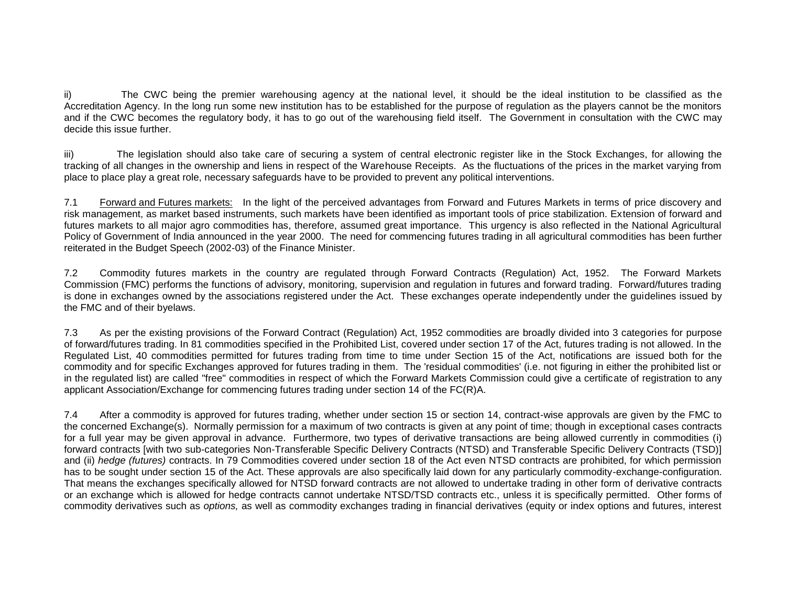ii) The CWC being the premier warehousing agency at the national level, it should be the ideal institution to be classified as the Accreditation Agency. In the long run some new institution has to be established for the purpose of regulation as the players cannot be the monitors and if the CWC becomes the regulatory body, it has to go out of the warehousing field itself. The Government in consultation with the CWC may decide this issue further.

iii) The legislation should also take care of securing a system of central electronic register like in the Stock Exchanges, for allowing the tracking of all changes in the ownership and liens in respect of the Warehouse Receipts. As the fluctuations of the prices in the market varying from place to place play a great role, necessary safeguards have to be provided to prevent any political interventions.

7.1 Forward and Futures markets: In the light of the perceived advantages from Forward and Futures Markets in terms of price discovery and risk management, as market based instruments, such markets have been identified as important tools of price stabilization. Extension of forward and futures markets to all major agro commodities has, therefore, assumed great importance. This urgency is also reflected in the National Agricultural Policy of Government of India announced in the year 2000. The need for commencing futures trading in all agricultural commodities has been further reiterated in the Budget Speech (2002-03) of the Finance Minister.

7.2 Commodity futures markets in the country are regulated through Forward Contracts (Regulation) Act, 1952. The Forward Markets Commission (FMC) performs the functions of advisory, monitoring, supervision and regulation in futures and forward trading. Forward/futures trading is done in exchanges owned by the associations registered under the Act. These exchanges operate independently under the guidelines issued by the FMC and of their byelaws.

7.3 As per the existing provisions of the Forward Contract (Regulation) Act, 1952 commodities are broadly divided into 3 categories for purpose of forward/futures trading. In 81 commodities specified in the Prohibited List, covered under section 17 of the Act, futures trading is not allowed. In the Regulated List, 40 commodities permitted for futures trading from time to time under Section 15 of the Act, notifications are issued both for the commodity and for specific Exchanges approved for futures trading in them. The 'residual commodities' (i.e. not figuring in either the prohibited list or in the regulated list) are called "free" commodities in respect of which the Forward Markets Commission could give a certificate of registration to any applicant Association/Exchange for commencing futures trading under section 14 of the FC(R)A.

7.4 After a commodity is approved for futures trading, whether under section 15 or section 14, contract-wise approvals are given by the FMC to the concerned Exchange(s). Normally permission for a maximum of two contracts is given at any point of time; though in exceptional cases contracts for a full year may be given approval in advance. Furthermore, two types of derivative transactions are being allowed currently in commodities (i) forward contracts [with two sub-categories Non-Transferable Specific Delivery Contracts (NTSD) and Transferable Specific Delivery Contracts (TSD)] and (ii) *hedge (futures)* contracts. In 79 Commodities covered under section 18 of the Act even NTSD contracts are prohibited, for which permission has to be sought under section 15 of the Act. These approvals are also specifically laid down for any particularly commodity-exchange-configuration. That means the exchanges specifically allowed for NTSD forward contracts are not allowed to undertake trading in other form of derivative contracts or an exchange which is allowed for hedge contracts cannot undertake NTSD/TSD contracts etc., unless it is specifically permitted. Other forms of commodity derivatives such as *options,* as well as commodity exchanges trading in financial derivatives (equity or index options and futures, interest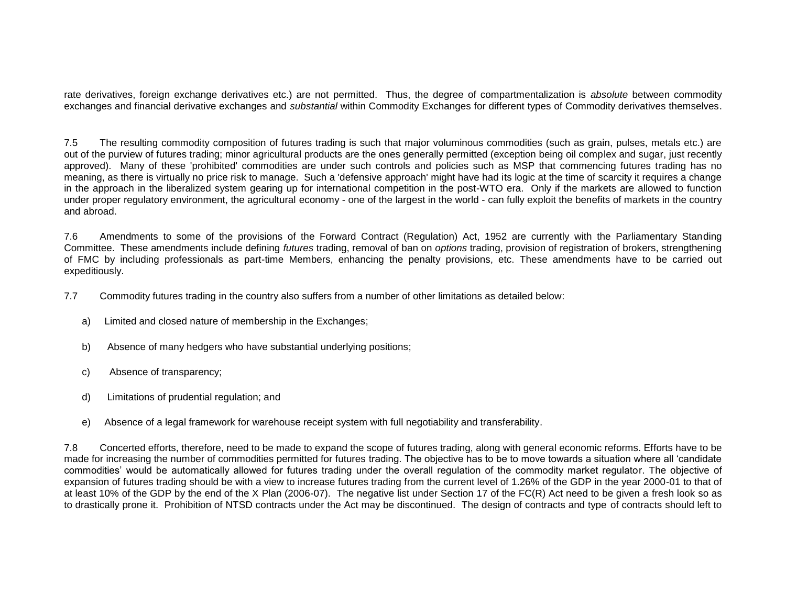rate derivatives, foreign exchange derivatives etc.) are not permitted. Thus, the degree of compartmentalization is *absolute* between commodity exchanges and financial derivative exchanges and *substantial* within Commodity Exchanges for different types of Commodity derivatives themselves.

7.5 The resulting commodity composition of futures trading is such that major voluminous commodities (such as grain, pulses, metals etc.) are out of the purview of futures trading; minor agricultural products are the ones generally permitted (exception being oil complex and sugar, just recently approved). Many of these 'prohibited' commodities are under such controls and policies such as MSP that commencing futures trading has no meaning, as there is virtually no price risk to manage. Such a 'defensive approach' might have had its logic at the time of scarcity it requires a change in the approach in the liberalized system gearing up for international competition in the post-WTO era. Only if the markets are allowed to function under proper regulatory environment, the agricultural economy - one of the largest in the world - can fully exploit the benefits of markets in the country and abroad.

7.6 Amendments to some of the provisions of the Forward Contract (Regulation) Act, 1952 are currently with the Parliamentary Standing Committee. These amendments include defining *futures* trading, removal of ban on *options* trading, provision of registration of brokers, strengthening of FMC by including professionals as part-time Members, enhancing the penalty provisions, etc. These amendments have to be carried out expeditiously.

- 7.7 Commodity futures trading in the country also suffers from a number of other limitations as detailed below:
	- a) Limited and closed nature of membership in the Exchanges;
	- b) Absence of many hedgers who have substantial underlying positions;
	- c) Absence of transparency;
	- d) Limitations of prudential regulation; and
	- e) Absence of a legal framework for warehouse receipt system with full negotiability and transferability.

7.8 Concerted efforts, therefore, need to be made to expand the scope of futures trading, along with general economic reforms. Efforts have to be made for increasing the number of commodities permitted for futures trading. The objective has to be to move towards a situation where all 'candidate commodities' would be automatically allowed for futures trading under the overall regulation of the commodity market regulator. The objective of expansion of futures trading should be with a view to increase futures trading from the current level of 1.26% of the GDP in the year 2000-01 to that of at least 10% of the GDP by the end of the X Plan (2006-07). The negative list under Section 17 of the FC(R) Act need to be given a fresh look so as to drastically prone it. Prohibition of NTSD contracts under the Act may be discontinued. The design of contracts and type of contracts should left to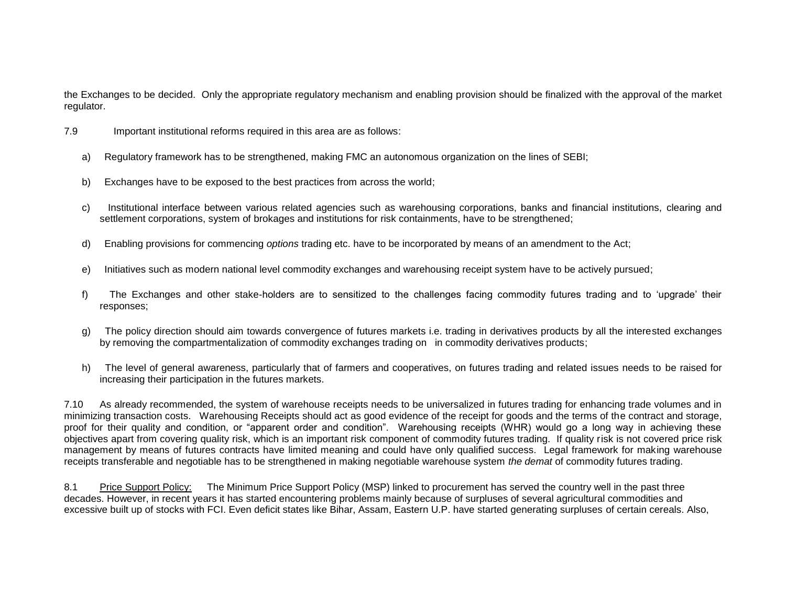the Exchanges to be decided. Only the appropriate regulatory mechanism and enabling provision should be finalized with the approval of the market regulator.

- 7.9 Important institutional reforms required in this area are as follows:
	- a) Regulatory framework has to be strengthened, making FMC an autonomous organization on the lines of SEBI;
	- b) Exchanges have to be exposed to the best practices from across the world;
	- c) Institutional interface between various related agencies such as warehousing corporations, banks and financial institutions, clearing and settlement corporations, system of brokages and institutions for risk containments, have to be strengthened;
	- d) Enabling provisions for commencing *options* trading etc. have to be incorporated by means of an amendment to the Act;
	- e) Initiatives such as modern national level commodity exchanges and warehousing receipt system have to be actively pursued;
	- f) The Exchanges and other stake-holders are to sensitized to the challenges facing commodity futures trading and to 'upgrade' their responses;
	- g) The policy direction should aim towards convergence of futures markets i.e. trading in derivatives products by all the interested exchanges by removing the compartmentalization of commodity exchanges trading on in commodity derivatives products;
	- h) The level of general awareness, particularly that of farmers and cooperatives, on futures trading and related issues needs to be raised for increasing their participation in the futures markets.

7.10 As already recommended, the system of warehouse receipts needs to be universalized in futures trading for enhancing trade volumes and in minimizing transaction costs. Warehousing Receipts should act as good evidence of the receipt for goods and the terms of the contract and storage, proof for their quality and condition, or "apparent order and condition". Warehousing receipts (WHR) would go a long way in achieving these objectives apart from covering quality risk, which is an important risk component of commodity futures trading. If quality risk is not covered price risk management by means of futures contracts have limited meaning and could have only qualified success. Legal framework for making warehouse receipts transferable and negotiable has to be strengthened in making negotiable warehouse system *the demat* of commodity futures trading.

8.1 Price Support Policy: The Minimum Price Support Policy (MSP) linked to procurement has served the country well in the past three decades. However, in recent years it has started encountering problems mainly because of surpluses of several agricultural commodities and excessive built up of stocks with FCI. Even deficit states like Bihar, Assam, Eastern U.P. have started generating surpluses of certain cereals. Also,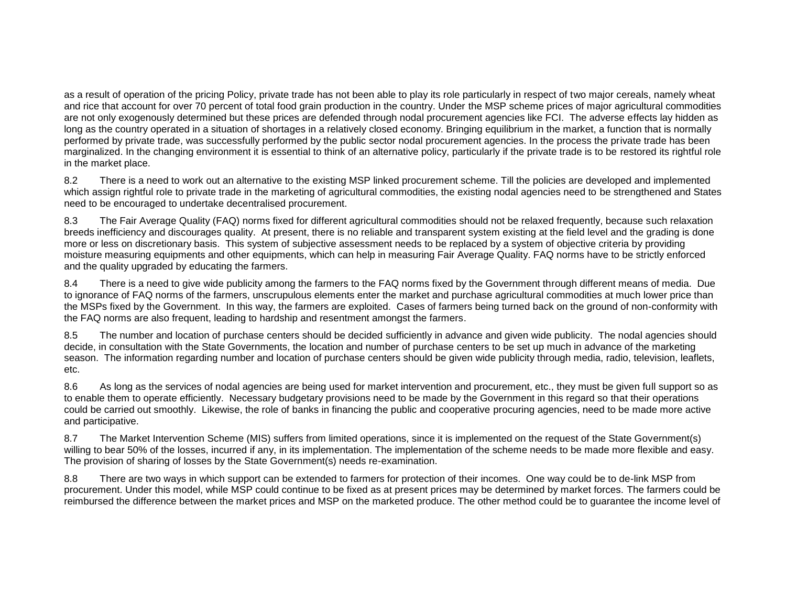as a result of operation of the pricing Policy, private trade has not been able to play its role particularly in respect of two major cereals, namely wheat and rice that account for over 70 percent of total food grain production in the country. Under the MSP scheme prices of major agricultural commodities are not only exogenously determined but these prices are defended through nodal procurement agencies like FCI. The adverse effects lay hidden as long as the country operated in a situation of shortages in a relatively closed economy. Bringing equilibrium in the market, a function that is normally performed by private trade, was successfully performed by the public sector nodal procurement agencies. In the process the private trade has been marginalized. In the changing environment it is essential to think of an alternative policy, particularly if the private trade is to be restored its rightful role in the market place.

8.2 There is a need to work out an alternative to the existing MSP linked procurement scheme. Till the policies are developed and implemented which assign rightful role to private trade in the marketing of agricultural commodities, the existing nodal agencies need to be strengthened and States need to be encouraged to undertake decentralised procurement.

8.3 The Fair Average Quality (FAQ) norms fixed for different agricultural commodities should not be relaxed frequently, because such relaxation breeds inefficiency and discourages quality. At present, there is no reliable and transparent system existing at the field level and the grading is done more or less on discretionary basis. This system of subjective assessment needs to be replaced by a system of objective criteria by providing moisture measuring equipments and other equipments, which can help in measuring Fair Average Quality. FAQ norms have to be strictly enforced and the quality upgraded by educating the farmers.

8.4 There is a need to give wide publicity among the farmers to the FAQ norms fixed by the Government through different means of media. Due to ignorance of FAQ norms of the farmers, unscrupulous elements enter the market and purchase agricultural commodities at much lower price than the MSPs fixed by the Government. In this way, the farmers are exploited. Cases of farmers being turned back on the ground of non-conformity with the FAQ norms are also frequent, leading to hardship and resentment amongst the farmers.

8.5 The number and location of purchase centers should be decided sufficiently in advance and given wide publicity. The nodal agencies should decide, in consultation with the State Governments, the location and number of purchase centers to be set up much in advance of the marketing season. The information regarding number and location of purchase centers should be given wide publicity through media, radio, television, leaflets, etc.

8.6 As long as the services of nodal agencies are being used for market intervention and procurement, etc., they must be given full support so as to enable them to operate efficiently. Necessary budgetary provisions need to be made by the Government in this regard so that their operations could be carried out smoothly. Likewise, the role of banks in financing the public and cooperative procuring agencies, need to be made more active and participative.

8.7 The Market Intervention Scheme (MIS) suffers from limited operations, since it is implemented on the request of the State Government(s) willing to bear 50% of the losses, incurred if any, in its implementation. The implementation of the scheme needs to be made more flexible and easy. The provision of sharing of losses by the State Government(s) needs re-examination.

8.8 There are two ways in which support can be extended to farmers for protection of their incomes. One way could be to de-link MSP from procurement. Under this model, while MSP could continue to be fixed as at present prices may be determined by market forces. The farmers could be reimbursed the difference between the market prices and MSP on the marketed produce. The other method could be to guarantee the income level of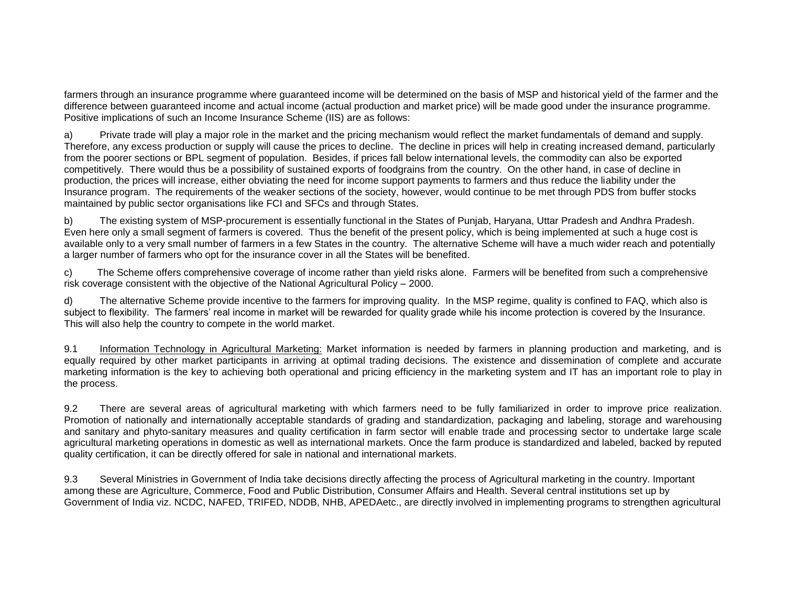farmers through an insurance programme where guaranteed income will be determined on the basis of MSP and historical yield of the farmer and the difference between guaranteed income and actual income (actual production and market price) will be made good under the insurance programme. Positive implications of such an Income Insurance Scheme (IIS) are as follows:

a) Private trade will play a major role in the market and the pricing mechanism would reflect the market fundamentals of demand and supply. Therefore, any excess production or supply will cause the prices to decline. The decline in prices will help in creating increased demand, particularly from the poorer sections or BPL segment of population. Besides, if prices fall below international levels, the commodity can also be exported competitively. There would thus be a possibility of sustained exports of foodgrains from the country. On the other hand, in case of decline in production, the prices will increase, either obviating the need for income support payments to farmers and thus reduce the liability under the Insurance program. The requirements of the weaker sections of the society, however, would continue to be met through PDS from buffer stocks maintained by public sector organisations like FCI and SFCs and through States.

b) The existing system of MSP-procurement is essentially functional in the States of Punjab, Haryana, Uttar Pradesh and Andhra Pradesh. Even here only a small segment of farmers is covered. Thus the benefit of the present policy, which is being implemented at such a huge cost is available only to a very small number of farmers in a few States in the country. The alternative Scheme will have a much wider reach and potentially a larger number of farmers who opt for the insurance cover in all the States will be benefited.

c) The Scheme offers comprehensive coverage of income rather than yield risks alone. Farmers will be benefited from such a comprehensive risk coverage consistent with the objective of the National Agricultural Policy – 2000.

d) The alternative Scheme provide incentive to the farmers for improving quality. In the MSP regime, quality is confined to FAQ, which also is subject to flexibility. The farmers' real income in market will be rewarded for quality grade while his income protection is covered by the Insurance. This will also help the country to compete in the world market.

9.1 Information Technology in Agricultural Marketing: Market information is needed by farmers in planning production and marketing, and is equally required by other market participants in arriving at optimal trading decisions. The existence and dissemination of complete and accurate marketing information is the key to achieving both operational and pricing efficiency in the marketing system and IT has an important role to play in the process.

9.2 There are several areas of agricultural marketing with which farmers need to be fully familiarized in order to improve price realization. Promotion of nationally and internationally acceptable standards of grading and standardization, packaging and labeling, storage and warehousing and sanitary and phyto-sanitary measures and quality certification in farm sector will enable trade and processing sector to undertake large scale agricultural marketing operations in domestic as well as international markets. Once the farm produce is standardized and labeled, backed by reputed quality certification, it can be directly offered for sale in national and international markets.

9.3 Several Ministries in Government of India take decisions directly affecting the process of Agricultural marketing in the country. Important among these are Agriculture, Commerce, Food and Public Distribution, Consumer Affairs and Health. Several central institutions set up by Government of India viz. NCDC, NAFED, TRIFED, NDDB, NHB, APEDAetc., are directly involved in implementing programs to strengthen agricultural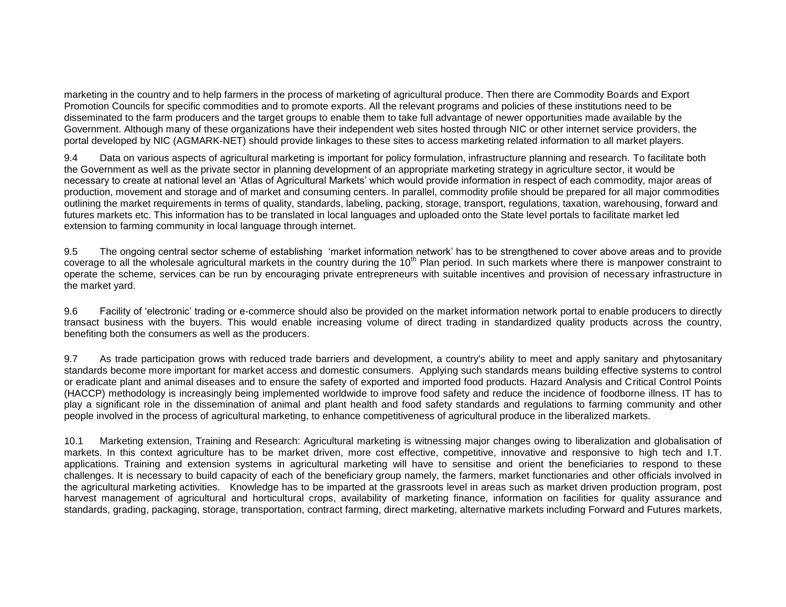marketing in the country and to help farmers in the process of marketing of agricultural produce. Then there are Commodity Boards and Export Promotion Councils for specific commodities and to promote exports. All the relevant programs and policies of these institutions need to be disseminated to the farm producers and the target groups to enable them to take full advantage of newer opportunities made available by the Government. Although many of these organizations have their independent web sites hosted through NIC or other internet service providers, the portal developed by NIC (AGMARK-NET) should provide linkages to these sites to access marketing related information to all market players.

9.4 Data on various aspects of agricultural marketing is important for policy formulation, infrastructure planning and research. To facilitate both the Government as well as the private sector in planning development of an appropriate marketing strategy in agriculture sector, it would be necessary to create at national level an 'Atlas of Agricultural Markets' which would provide information in respect of each commodity, major areas of production, movement and storage and of market and consuming centers. In parallel, commodity profile should be prepared for all major commodities outlining the market requirements in terms of quality, standards, labeling, packing, storage, transport, regulations, taxation, warehousing, forward and futures markets etc. This information has to be translated in local languages and uploaded onto the State level portals to facilitate market led extension to farming community in local language through internet.

9.5 The ongoing central sector scheme of establishing 'market information network' has to be strengthened to cover above areas and to provide coverage to all the wholesale agricultural markets in the country during the 10<sup>th</sup> Plan period. In such markets where there is manpower constraint to operate the scheme, services can be run by encouraging private entrepreneurs with suitable incentives and provision of necessary infrastructure in the market yard.

9.6 Facility of 'electronic' trading or e-commerce should also be provided on the market information network portal to enable producers to directly transact business with the buyers. This would enable increasing volume of direct trading in standardized quality products across the country, benefiting both the consumers as well as the producers.

9.7 As trade participation grows with reduced trade barriers and development, a country's ability to meet and apply sanitary and phytosanitary standards become more important for market access and domestic consumers. Applying such standards means building effective systems to control or eradicate plant and animal diseases and to ensure the safety of exported and imported food products. Hazard Analysis and Critical Control Points (HACCP) methodology is increasingly being implemented worldwide to improve food safety and reduce the incidence of foodborne illness. IT has to play a significant role in the dissemination of animal and plant health and food safety standards and regulations to farming community and other people involved in the process of agricultural marketing, to enhance competitiveness of agricultural produce in the liberalized markets.

10.1 Marketing extension, Training and Research: Agricultural marketing is witnessing major changes owing to liberalization and globalisation of markets. In this context agriculture has to be market driven, more cost effective, competitive, innovative and responsive to high tech and I.T. applications. Training and extension systems in agricultural marketing will have to sensitise and orient the beneficiaries to respond to these challenges. It is necessary to build capacity of each of the beneficiary group namely, the farmers, market functionaries and other officials involved in the agricultural marketing activities. Knowledge has to be imparted at the grassroots level in areas such as market driven production program, post harvest management of agricultural and horticultural crops, availability of marketing finance, information on facilities for quality assurance and standards, grading, packaging, storage, transportation, contract farming, direct marketing, alternative markets including Forward and Futures markets,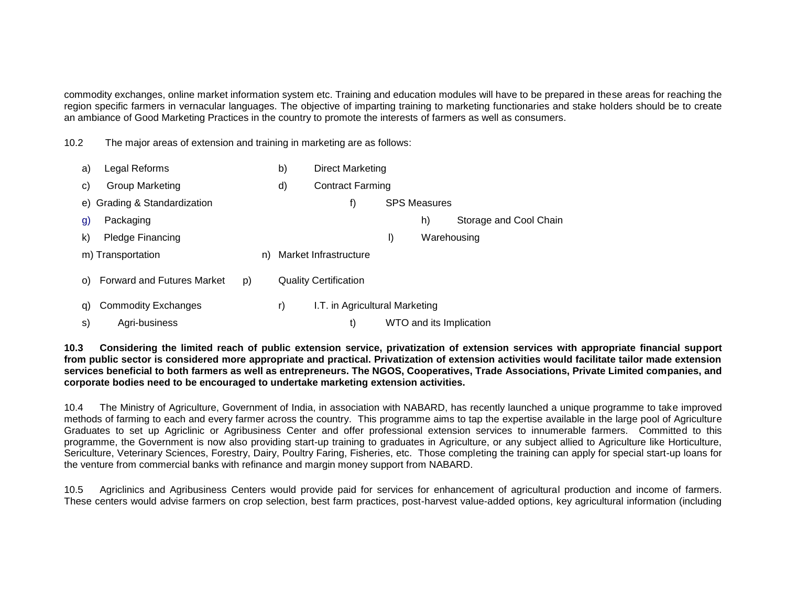commodity exchanges, online market information system etc. Training and education modules will have to be prepared in these areas for reaching the region specific farmers in vernacular languages. The objective of imparting training to marketing functionaries and stake holders should be to create an ambiance of Good Marketing Practices in the country to promote the interests of farmers as well as consumers.

10.2 The major areas of extension and training in marketing are as follows:

| a) | Legal Reforms                     |    | b) | Direct Marketing               |    |                     |                         |
|----|-----------------------------------|----|----|--------------------------------|----|---------------------|-------------------------|
| C) | Group Marketing                   |    | d) | <b>Contract Farming</b>        |    |                     |                         |
|    | e) Grading & Standardization      |    |    | f)                             |    | <b>SPS Measures</b> |                         |
| g) | Packaging                         |    |    |                                |    | h)                  | Storage and Cool Chain  |
| k) | Pledge Financing                  |    |    |                                | I) |                     | Warehousing             |
|    | m) Transportation                 |    | n) | Market Infrastructure          |    |                     |                         |
| O) | <b>Forward and Futures Market</b> | p) |    | <b>Quality Certification</b>   |    |                     |                         |
| q) | <b>Commodity Exchanges</b>        |    | r) | I.T. in Agricultural Marketing |    |                     |                         |
| s) | Agri-business                     |    |    | t)                             |    |                     | WTO and its Implication |

**10.3 Considering the limited reach of public extension service, privatization of extension services with appropriate financial support from public sector is considered more appropriate and practical. Privatization of extension activities would facilitate tailor made extension services beneficial to both farmers as well as entrepreneurs. The NGOS, Cooperatives, Trade Associations, Private Limited companies, and corporate bodies need to be encouraged to undertake marketing extension activities.**

10.4 The Ministry of Agriculture, Government of India, in association with NABARD, has recently launched a unique programme to take improved methods of farming to each and every farmer across the country. This programme aims to tap the expertise available in the large pool of Agriculture Graduates to set up Agriclinic or Agribusiness Center and offer professional extension services to innumerable farmers. Committed to this programme, the Government is now also providing start-up training to graduates in Agriculture, or any subject allied to Agriculture like Horticulture, Sericulture, Veterinary Sciences, Forestry, Dairy, Poultry Faring, Fisheries, etc. Those completing the training can apply for special start-up loans for the venture from commercial banks with refinance and margin money support from NABARD.

10.5 Agriclinics and Agribusiness Centers would provide paid for services for enhancement of agricultural production and income of farmers. These centers would advise farmers on crop selection, best farm practices, post-harvest value-added options, key agricultural information (including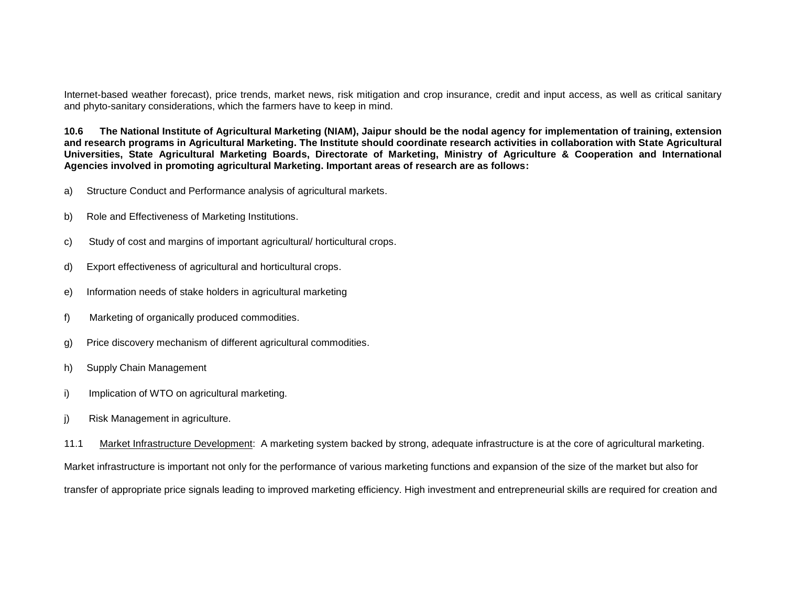Internet-based weather forecast), price trends, market news, risk mitigation and crop insurance, credit and input access, as well as critical sanitary and phyto-sanitary considerations, which the farmers have to keep in mind.

**10.6 The National Institute of Agricultural Marketing (NIAM), Jaipur should be the nodal agency for implementation of training, extension and research programs in Agricultural Marketing. The Institute should coordinate research activities in collaboration with State Agricultural Universities, State Agricultural Marketing Boards, Directorate of Marketing, Ministry of Agriculture & Cooperation and International Agencies involved in promoting agricultural Marketing. Important areas of research are as follows:**

- a) Structure Conduct and Performance analysis of agricultural markets.
- b) Role and Effectiveness of Marketing Institutions.
- c) Study of cost and margins of important agricultural/ horticultural crops.
- d) Export effectiveness of agricultural and horticultural crops.
- e) Information needs of stake holders in agricultural marketing
- f) Marketing of organically produced commodities.
- g) Price discovery mechanism of different agricultural commodities.
- h) Supply Chain Management
- i) Implication of WTO on agricultural marketing.
- j) Risk Management in agriculture.

11.1 Market Infrastructure Development: A marketing system backed by strong, adequate infrastructure is at the core of agricultural marketing. Market infrastructure is important not only for the performance of various marketing functions and expansion of the size of the market but also for transfer of appropriate price signals leading to improved marketing efficiency. High investment and entrepreneurial skills are required for creation and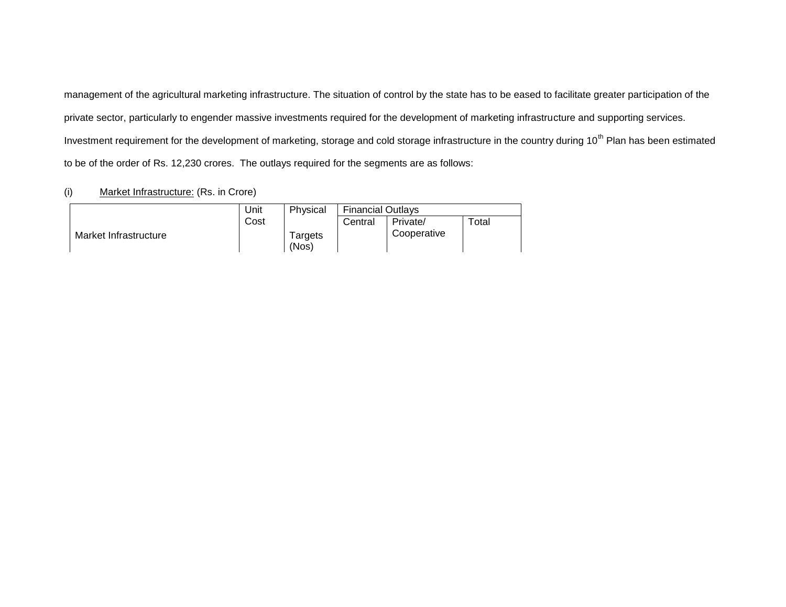management of the agricultural marketing infrastructure. The situation of control by the state has to be eased to facilitate greater participation of the private sector, particularly to engender massive investments required for the development of marketing infrastructure and supporting services. Investment requirement for the development of marketing, storage and cold storage infrastructure in the country during 10<sup>th</sup> Plan has been estimated to be of the order of Rs. 12,230 crores. The outlays required for the segments are as follows:

# (i) Market Infrastructure: (Rs. in Crore)

|                       | Unit | Physical | <b>Financial Outlays</b> |             |       |
|-----------------------|------|----------|--------------------------|-------------|-------|
|                       | Cost |          | Central                  | Private/    | Total |
| Market Infrastructure |      | Targets  |                          | Cooperative |       |
|                       |      | (Nos)    |                          |             |       |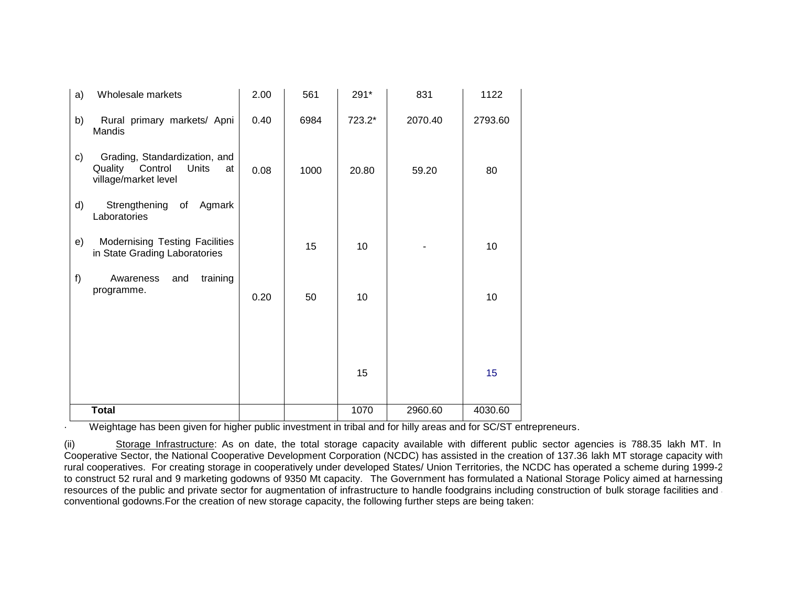| a) | Wholesale markets                                                                          | 2.00 | 561  | 291*   | 831     | 1122    |
|----|--------------------------------------------------------------------------------------------|------|------|--------|---------|---------|
| b) | Rural primary markets/ Apni<br>Mandis                                                      | 0.40 | 6984 | 723.2* | 2070.40 | 2793.60 |
| c) | Grading, Standardization, and<br>Quality<br>Control<br>Units<br>at<br>village/market level | 0.08 | 1000 | 20.80  | 59.20   | 80      |
| d) | Strengthening of<br>Agmark<br>Laboratories                                                 |      |      |        |         |         |
| e) | Modernising Testing Facilities<br>in State Grading Laboratories                            |      | 15   | 10     |         | 10      |
| f) | training<br>Awareness<br>and<br>programme.                                                 | 0.20 | 50   | 10     |         | 10      |
|    |                                                                                            |      |      | 15     |         | 15      |
|    | <b>Total</b>                                                                               |      |      | 1070   | 2960.60 | 4030.60 |

Weightage has been given for higher public investment in tribal and for hilly areas and for SC/ST entrepreneurs.

(ii) Storage Infrastructure: As on date, the total storage capacity available with different public sector agencies is 788.35 lakh MT. In Cooperative Sector, the National Cooperative Development Corporation (NCDC) has assisted in the creation of 137.36 lakh MT storage capacity with rural cooperatives. For creating storage in cooperatively under developed States/ Union Territories, the NCDC has operated a scheme during 1999-2000 to construct 52 rural and 9 marketing godowns of 9350 Mt capacity. The Government has formulated a National Storage Policy aimed at harnessing resources of the public and private sector for augmentation of infrastructure to handle foodgrains including construction of bulk storage facilities and a conventional godowns.For the creation of new storage capacity, the following further steps are being taken: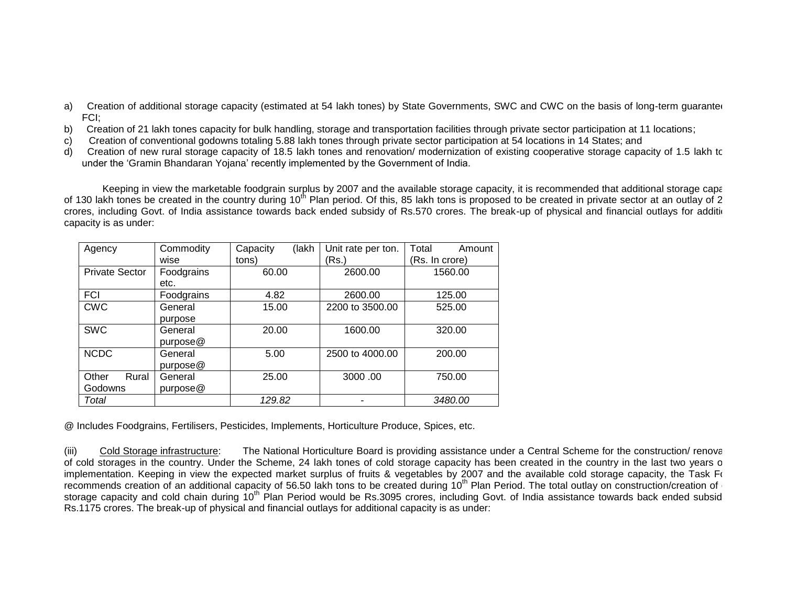- a) Creation of additional storage capacity (estimated at 54 lakh tones) by State Governments, SWC and CWC on the basis of long-term guarantee FCI;
- b) Creation of 21 lakh tones capacity for bulk handling, storage and transportation facilities through private sector participation at 11 locations;
- c) Creation of conventional godowns totaling 5.88 lakh tones through private sector participation at 54 locations in 14 States; and
- d) Creation of new rural storage capacity of 18.5 lakh tones and renovation/modernization of existing cooperative storage capacity of 1.5 lakh to under the 'Gramin Bhandaran Yojana' recently implemented by the Government of India.

Keeping in view the marketable foodgrain surplus by 2007 and the available storage capacity, it is recommended that additional storage capacity of 130 lakh tones be created in the country during 10<sup>th</sup> Plan period. Of this, 85 lakh tons is proposed to be created in private sector at an outlay of 2 crores, including Govt. of India assistance towards back ended subsidy of Rs.570 crores. The break-up of physical and financial outlays for additional capacity is as under:

| Agency                | Commodity  | Capacity<br>(lakh | Unit rate per ton. | Total<br>Amount |
|-----------------------|------------|-------------------|--------------------|-----------------|
|                       | wise       | tons)             | Rs.)               | (Rs. In crore)  |
| <b>Private Sector</b> | Foodgrains | 60.00             | 2600.00            | 1560.00         |
|                       | etc.       |                   |                    |                 |
| FCI                   | Foodgrains | 4.82              | 2600.00            | 125.00          |
| <b>CWC</b>            | General    | 15.00             | 2200 to 3500.00    | 525.00          |
|                       | purpose    |                   |                    |                 |
| <b>SWC</b>            | General    | 20.00             | 1600.00            | 320.00          |
|                       | pure@      |                   |                    |                 |
| <b>NCDC</b>           | General    | 5.00              | 2500 to 4000.00    | 200.00          |
|                       | pure@      |                   |                    |                 |
| Rural<br>Other        | General    | 25.00             | 3000.00            | 750.00          |
| Godowns               | purpose@   |                   |                    |                 |
| Total                 |            | 129.82            |                    | 3480.00         |

@ Includes Foodgrains, Fertilisers, Pesticides, Implements, Horticulture Produce, Spices, etc.

(iii) Cold Storage infrastructure: The National Horticulture Board is providing assistance under a Central Scheme for the construction/ renova of cold storages in the country. Under the Scheme, 24 lakh tones of cold storage capacity has been created in the country in the last two years o implementation. Keeping in view the expected market surplus of fruits & vegetables by 2007 and the available cold storage capacity, the Task Force recommends creation of an additional capacity of 56.50 lakh tons to be created during 10<sup>th</sup> Plan Period. The total outlay on construction/creation of storage capacity and cold chain during 10<sup>th</sup> Plan Period would be Rs.3095 crores, including Govt. of India assistance towards back ended subsid Rs.1175 crores. The break-up of physical and financial outlays for additional capacity is as under: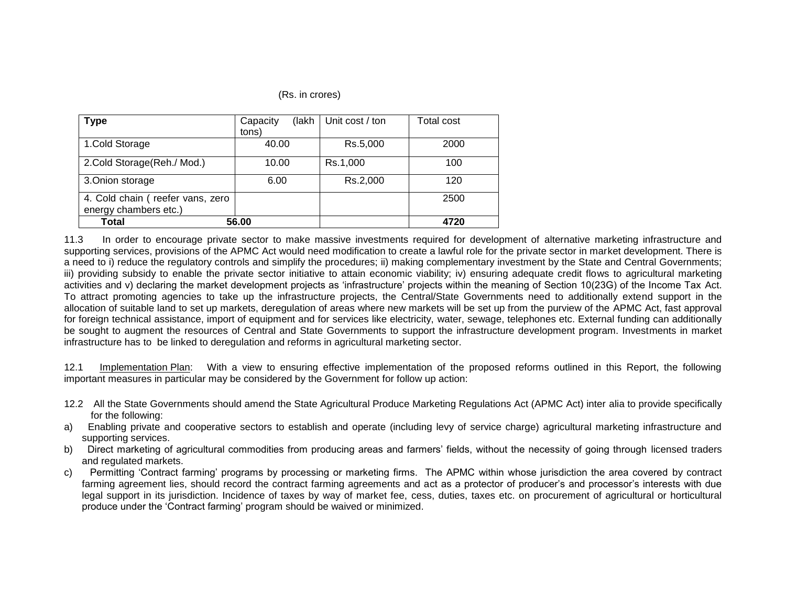#### (Rs. in crores)

| Type                             | (lakh<br>Capacity | Unit cost / ton | Total cost |
|----------------------------------|-------------------|-----------------|------------|
|                                  | tons)             |                 |            |
| 1.Cold Storage                   | 40.00             | Rs.5,000        | 2000       |
| 2.Cold Storage(Reh./ Mod.)       | 10.00             | Rs.1,000        | 100        |
| 3. Onion storage                 | 6.00              | Rs.2,000        | 120        |
| 4. Cold chain (reefer vans, zero |                   |                 | 2500       |
| energy chambers etc.)            |                   |                 |            |
| Total                            | 56.00             |                 | 4720       |

11.3 In order to encourage private sector to make massive investments required for development of alternative marketing infrastructure and supporting services, provisions of the APMC Act would need modification to create a lawful role for the private sector in market development. There is a need to i) reduce the regulatory controls and simplify the procedures; ii) making complementary investment by the State and Central Governments; iii) providing subsidy to enable the private sector initiative to attain economic viability; iv) ensuring adequate credit flows to agricultural marketing activities and v) declaring the market development projects as 'infrastructure' projects within the meaning of Section 10(23G) of the Income Tax Act. To attract promoting agencies to take up the infrastructure projects, the Central/State Governments need to additionally extend support in the allocation of suitable land to set up markets, deregulation of areas where new markets will be set up from the purview of the APMC Act, fast approval for foreign technical assistance, import of equipment and for services like electricity, water, sewage, telephones etc. External funding can additionally be sought to augment the resources of Central and State Governments to support the infrastructure development program. Investments in market infrastructure has to be linked to deregulation and reforms in agricultural marketing sector.

12.1 Implementation Plan: With a view to ensuring effective implementation of the proposed reforms outlined in this Report, the following important measures in particular may be considered by the Government for follow up action:

- 12.2 All the State Governments should amend the State Agricultural Produce Marketing Regulations Act (APMC Act) inter alia to provide specifically for the following:
- a) Enabling private and cooperative sectors to establish and operate (including levy of service charge) agricultural marketing infrastructure and supporting services.
- b) Direct marketing of agricultural commodities from producing areas and farmers' fields, without the necessity of going through licensed traders and regulated markets.
- c) Permitting 'Contract farming' programs by processing or marketing firms. The APMC within whose jurisdiction the area covered by contract farming agreement lies, should record the contract farming agreements and act as a protector of producer's and processor's interests with due legal support in its jurisdiction. Incidence of taxes by way of market fee, cess, duties, taxes etc. on procurement of agricultural or horticultural produce under the 'Contract farming' program should be waived or minimized.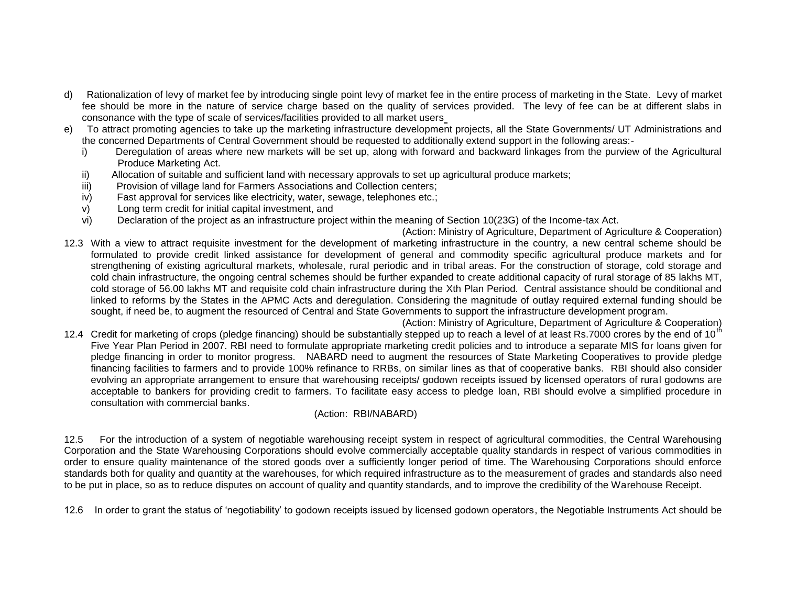- d) Rationalization of levy of market fee by introducing single point levy of market fee in the entire process of marketing in the State. Levy of market fee should be more in the nature of service charge based on the quality of services provided. The levy of fee can be at different slabs in consonance with the type of scale of services/facilities provided to all market users
- e) To attract promoting agencies to take up the marketing infrastructure development projects, all the State Governments/ UT Administrations and the concerned Departments of Central Government should be requested to additionally extend support in the following areas:
	- i) Deregulation of areas where new markets will be set up, along with forward and backward linkages from the purview of the Agricultural Produce Marketing Act.
	- ii) Allocation of suitable and sufficient land with necessary approvals to set up agricultural produce markets;
	- iii) Provision of village land for Farmers Associations and Collection centers;
	- iv) Fast approval for services like electricity, water, sewage, telephones etc.;
	- v) Long term credit for initial capital investment, and
	- vi) Declaration of the project as an infrastructure project within the meaning of Section 10(23G) of the Income-tax Act.
- (Action: Ministry of Agriculture, Department of Agriculture & Cooperation) 12.3 With a view to attract requisite investment for the development of marketing infrastructure in the country, a new central scheme should be formulated to provide credit linked assistance for development of general and commodity specific agricultural produce markets and for strengthening of existing agricultural markets, wholesale, rural periodic and in tribal areas. For the construction of storage, cold storage and cold chain infrastructure, the ongoing central schemes should be further expanded to create additional capacity of rural storage of 85 lakhs MT, cold storage of 56.00 lakhs MT and requisite cold chain infrastructure during the Xth Plan Period. Central assistance should be conditional and linked to reforms by the States in the APMC Acts and deregulation. Considering the magnitude of outlay required external funding should be sought, if need be, to augment the resourced of Central and State Governments to support the infrastructure development program.
- (Action: Ministry of Agriculture, Department of Agriculture & Cooperation) 12.4 Credit for marketing of crops (pledge financing) should be substantially stepped up to reach a level of at least Rs.7000 crores by the end of 10<sup>th</sup> Five Year Plan Period in 2007. RBI need to formulate appropriate marketing credit policies and to introduce a separate MIS for loans given for pledge financing in order to monitor progress. NABARD need to augment the resources of State Marketing Cooperatives to provide pledge financing facilities to farmers and to provide 100% refinance to RRBs, on similar lines as that of cooperative banks. RBI should also consider evolving an appropriate arrangement to ensure that warehousing receipts/ godown receipts issued by licensed operators of rural godowns are acceptable to bankers for providing credit to farmers. To facilitate easy access to pledge loan, RBI should evolve a simplified procedure in consultation with commercial banks.

# (Action: RBI/NABARD)

12.5 For the introduction of a system of negotiable warehousing receipt system in respect of agricultural commodities, the Central Warehousing Corporation and the State Warehousing Corporations should evolve commercially acceptable quality standards in respect of various commodities in order to ensure quality maintenance of the stored goods over a sufficiently longer period of time. The Warehousing Corporations should enforce standards both for quality and quantity at the warehouses, for which required infrastructure as to the measurement of grades and standards also need to be put in place, so as to reduce disputes on account of quality and quantity standards, and to improve the credibility of the Warehouse Receipt.

12.6 In order to grant the status of 'negotiability' to godown receipts issued by licensed godown operators, the Negotiable Instruments Act should be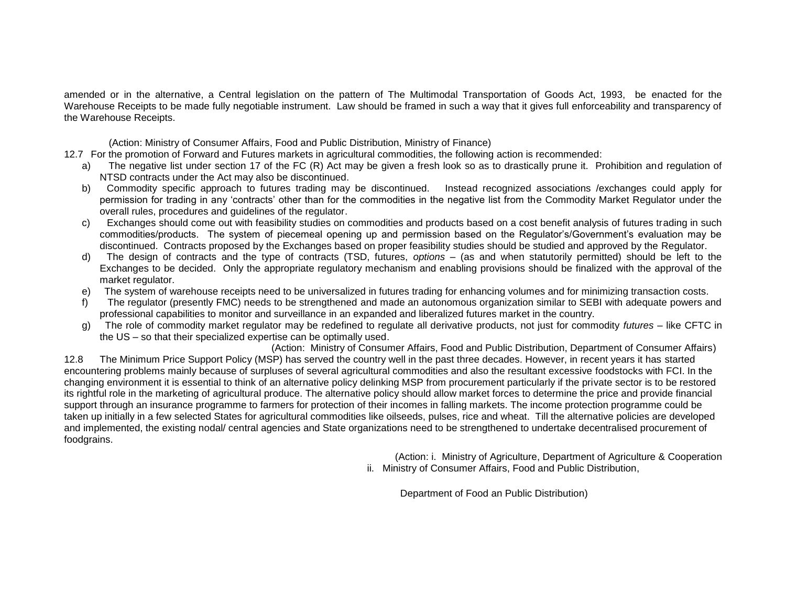amended or in the alternative, a Central legislation on the pattern of The Multimodal Transportation of Goods Act, 1993, be enacted for the Warehouse Receipts to be made fully negotiable instrument. Law should be framed in such a way that it gives full enforceability and transparency of the Warehouse Receipts.

(Action: Ministry of Consumer Affairs, Food and Public Distribution, Ministry of Finance)

- 12.7 For the promotion of Forward and Futures markets in agricultural commodities, the following action is recommended:
	- a) The negative list under section 17 of the FC (R) Act may be given a fresh look so as to drastically prune it. Prohibition and regulation of NTSD contracts under the Act may also be discontinued.
	- b) Commodity specific approach to futures trading may be discontinued. Instead recognized associations /exchanges could apply for permission for trading in any 'contracts' other than for the commodities in the negative list from the Commodity Market Regulator under the overall rules, procedures and guidelines of the regulator.
	- c) Exchanges should come out with feasibility studies on commodities and products based on a cost benefit analysis of futures trading in such commodities/products. The system of piecemeal opening up and permission based on the Regulator's/Government's evaluation may be discontinued. Contracts proposed by the Exchanges based on proper feasibility studies should be studied and approved by the Regulator.
	- d) The design of contracts and the type of contracts (TSD, futures, *options* (as and when statutorily permitted) should be left to the Exchanges to be decided. Only the appropriate regulatory mechanism and enabling provisions should be finalized with the approval of the market regulator.
	- e) The system of warehouse receipts need to be universalized in futures trading for enhancing volumes and for minimizing transaction costs.
	- f) The regulator (presently FMC) needs to be strengthened and made an autonomous organization similar to SEBI with adequate powers and professional capabilities to monitor and surveillance in an expanded and liberalized futures market in the country.
	- g) The role of commodity market regulator may be redefined to regulate all derivative products, not just for commodity *futures*  like CFTC in the US – so that their specialized expertise can be optimally used.

(Action: Ministry of Consumer Affairs, Food and Public Distribution, Department of Consumer Affairs) 12.8 The Minimum Price Support Policy (MSP) has served the country well in the past three decades. However, in recent years it has started encountering problems mainly because of surpluses of several agricultural commodities and also the resultant excessive foodstocks with FCI. In the changing environment it is essential to think of an alternative policy delinking MSP from procurement particularly if the private sector is to be restored its rightful role in the marketing of agricultural produce. The alternative policy should allow market forces to determine the price and provide financial support through an insurance programme to farmers for protection of their incomes in falling markets. The income protection programme could be taken up initially in a few selected States for agricultural commodities like oilseeds, pulses, rice and wheat. Till the alternative policies are developed and implemented, the existing nodal/ central agencies and State organizations need to be strengthened to undertake decentralised procurement of foodgrains.

> (Action: i. Ministry of Agriculture, Department of Agriculture & Cooperation ii. Ministry of Consumer Affairs, Food and Public Distribution,

Department of Food an Public Distribution)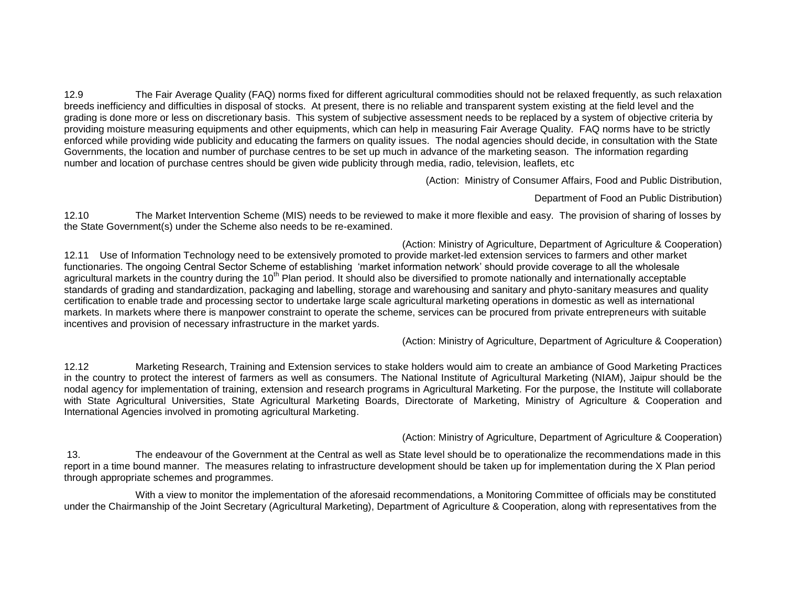12.9 The Fair Average Quality (FAQ) norms fixed for different agricultural commodities should not be relaxed frequently, as such relaxation breeds inefficiency and difficulties in disposal of stocks. At present, there is no reliable and transparent system existing at the field level and the grading is done more or less on discretionary basis. This system of subjective assessment needs to be replaced by a system of objective criteria by providing moisture measuring equipments and other equipments, which can help in measuring Fair Average Quality. FAQ norms have to be strictly enforced while providing wide publicity and educating the farmers on quality issues. The nodal agencies should decide, in consultation with the State Governments, the location and number of purchase centres to be set up much in advance of the marketing season. The information regarding number and location of purchase centres should be given wide publicity through media, radio, television, leaflets, etc

(Action: Ministry of Consumer Affairs, Food and Public Distribution,

Department of Food an Public Distribution)

12.10 The Market Intervention Scheme (MIS) needs to be reviewed to make it more flexible and easy. The provision of sharing of losses by the State Government(s) under the Scheme also needs to be re-examined.

(Action: Ministry of Agriculture, Department of Agriculture & Cooperation) 12.11 Use of Information Technology need to be extensively promoted to provide market-led extension services to farmers and other market functionaries. The ongoing Central Sector Scheme of establishing 'market information network' should provide coverage to all the wholesale agricultural markets in the country during the 10<sup>th</sup> Plan period. It should also be diversified to promote nationally and internationally acceptable standards of grading and standardization, packaging and labelling, storage and warehousing and sanitary and phyto-sanitary measures and quality certification to enable trade and processing sector to undertake large scale agricultural marketing operations in domestic as well as international markets. In markets where there is manpower constraint to operate the scheme, services can be procured from private entrepreneurs with suitable incentives and provision of necessary infrastructure in the market yards.

(Action: Ministry of Agriculture, Department of Agriculture & Cooperation)

12.12 Marketing Research, Training and Extension services to stake holders would aim to create an ambiance of Good Marketing Practices in the country to protect the interest of farmers as well as consumers. The National Institute of Agricultural Marketing (NIAM), Jaipur should be the nodal agency for implementation of training, extension and research programs in Agricultural Marketing. For the purpose, the Institute will collaborate with State Agricultural Universities, State Agricultural Marketing Boards, Directorate of Marketing, Ministry of Agriculture & Cooperation and International Agencies involved in promoting agricultural Marketing.

(Action: Ministry of Agriculture, Department of Agriculture & Cooperation)

13. The endeavour of the Government at the Central as well as State level should be to operationalize the recommendations made in this report in a time bound manner. The measures relating to infrastructure development should be taken up for implementation during the X Plan period through appropriate schemes and programmes.

With a view to monitor the implementation of the aforesaid recommendations, a Monitoring Committee of officials may be constituted under the Chairmanship of the Joint Secretary (Agricultural Marketing), Department of Agriculture & Cooperation, along with representatives from the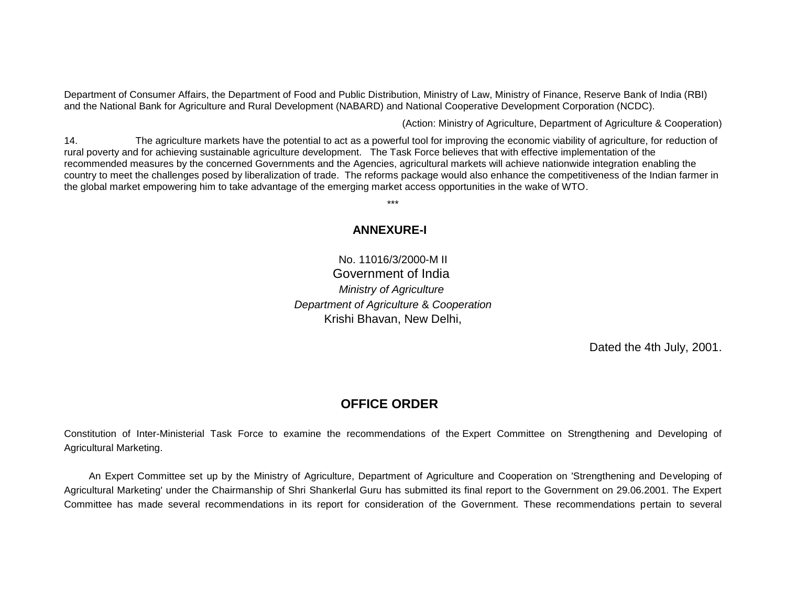Department of Consumer Affairs, the Department of Food and Public Distribution, Ministry of Law, Ministry of Finance, Reserve Bank of India (RBI) and the National Bank for Agriculture and Rural Development (NABARD) and National Cooperative Development Corporation (NCDC).

(Action: Ministry of Agriculture, Department of Agriculture & Cooperation)

14. The agriculture markets have the potential to act as a powerful tool for improving the economic viability of agriculture, for reduction of rural poverty and for achieving sustainable agriculture development. The Task Force believes that with effective implementation of the recommended measures by the concerned Governments and the Agencies, agricultural markets will achieve nationwide integration enabling the country to meet the challenges posed by liberalization of trade. The reforms package would also enhance the competitiveness of the Indian farmer in the global market empowering him to take advantage of the emerging market access opportunities in the wake of WTO.

\*\*\*

# **ANNEXURE-I**

No. 11016/3/2000-M II Government of India *Ministry of Agriculture Department of Agriculture* & *Cooperation* Krishi Bhavan, New Delhi,

Dated the 4th July, 2001.

# **OFFICE ORDER**

Constitution of Inter-Ministerial Task Force to examine the recommendations of the Expert Committee on Strengthening and Developing of Agricultural Marketing.

An Expert Committee set up by the Ministry of Agriculture, Department of Agriculture and Cooperation on 'Strengthening and Developing of Agricultural Marketing' under the Chairmanship of Shri Shankerlal Guru has submitted its final report to the Government on 29.06.2001. The Expert Committee has made several recommendations in its report for consideration of the Government. These recommendations pertain to several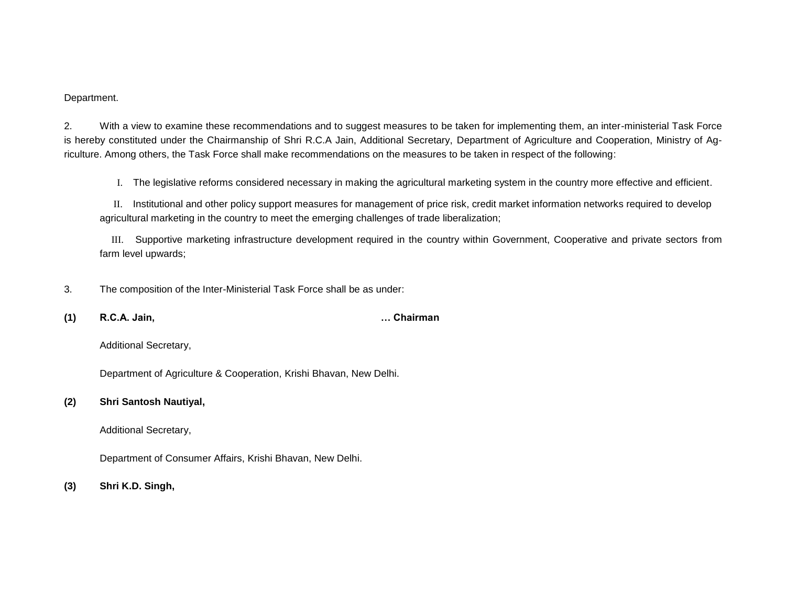Department.

2. With a view to examine these recommendations and to suggest measures to be taken for implementing them, an inter-ministerial Task Force is hereby constituted under the Chairmanship of Shri R.C.A Jain, Additional Secretary, Department of Agriculture and Cooperation, Ministry of Agriculture. Among others, the Task Force shall make recommendations on the measures to be taken in respect of the following:

I. The legislative reforms considered necessary in making the agricultural marketing system in the country more effective and efficient.

 II. Institutional and other policy support measures for management of price risk, credit market information networks required to develop agricultural marketing in the country to meet the emerging challenges of trade liberalization;

 III. Supportive marketing infrastructure development required in the country within Government, Cooperative and private sectors from farm level upwards;

3. The composition of the Inter-Ministerial Task Force shall be as under:

**(1) R.C.A. Jain, … Chairman**

Additional Secretary,

Department of Agriculture & Cooperation, Krishi Bhavan, New Delhi.

#### **(2) Shri Santosh Nautiyal,**

Additional Secretary,

Department of Consumer Affairs, Krishi Bhavan, New Delhi.

**(3) Shri K.D. Singh,**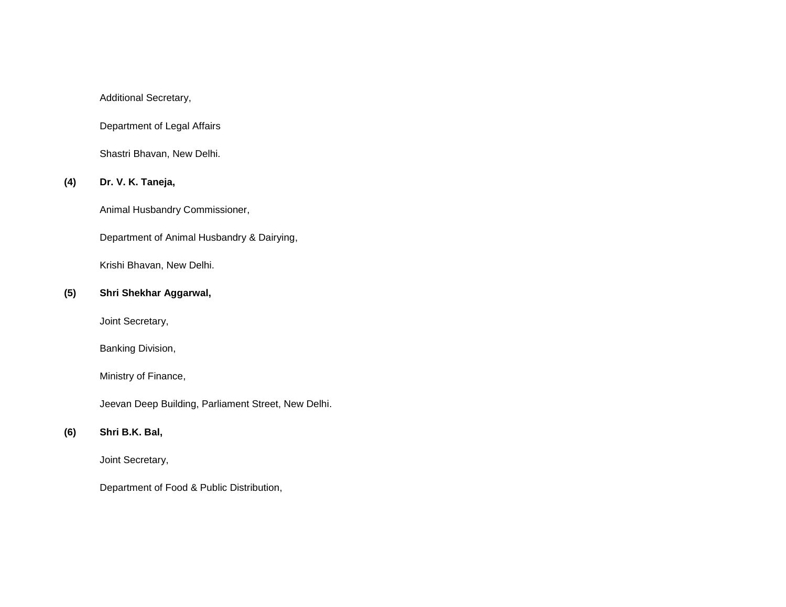Additional Secretary,

Department of Legal Affairs

Shastri Bhavan, New Delhi.

# **(4) Dr. V. K. Taneja,**

Animal Husbandry Commissioner,

Department of Animal Husbandry & Dairying,

Krishi Bhavan, New Delhi.

## **(5) Shri Shekhar Aggarwal,**

Joint Secretary,

Banking Division,

Ministry of Finance,

Jeevan Deep Building, Parliament Street, New Delhi.

# **(6) Shri B.K. Bal,**

Joint Secretary,

Department of Food & Public Distribution,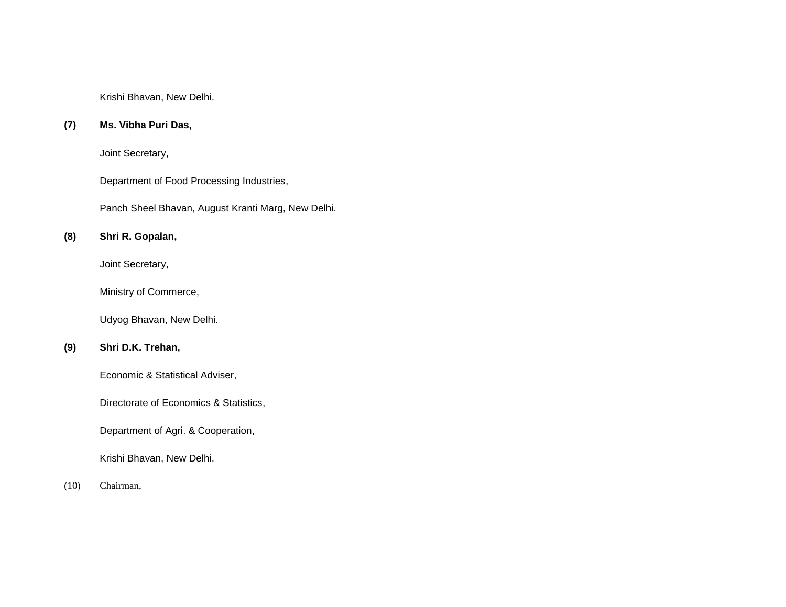Krishi Bhavan, New Delhi.

## **(7) Ms. Vibha Puri Das,**

Joint Secretary,

Department of Food Processing Industries,

Panch Sheel Bhavan, August Kranti Marg, New Delhi.

# **(8) Shri R. Gopalan,**

Joint Secretary,

Ministry of Commerce,

Udyog Bhavan, New Delhi.

# **(9) Shri D.K. Trehan,**

Economic & Statistical Adviser,

Directorate of Economics & Statistics,

Department of Agri. & Cooperation,

Krishi Bhavan, New Delhi.

#### (10) Chairman,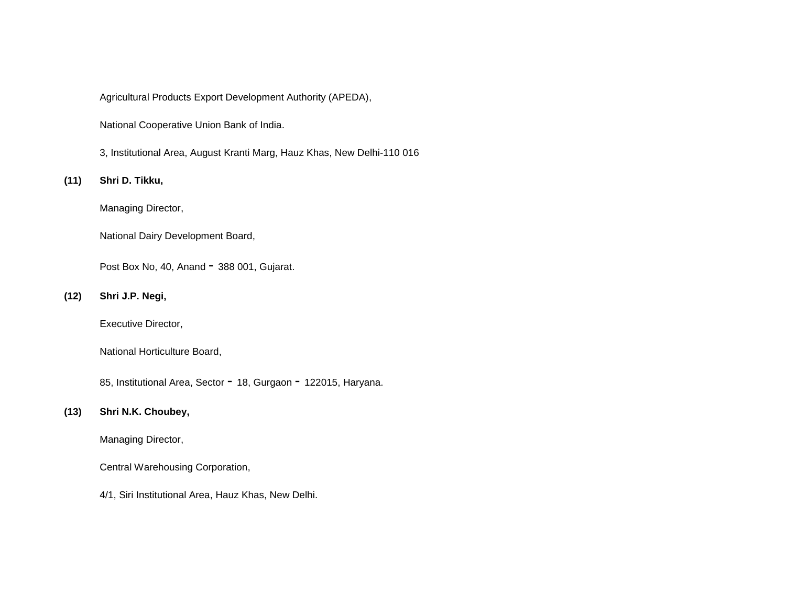Agricultural Products Export Development Authority (APEDA),

National Cooperative Union Bank of India.

3, Institutional Area, August Kranti Marg, Hauz Khas, New Delhi-110 016

## **(11) Shri D. Tikku,**

Managing Director,

National Dairy Development Board,

Post Box No, 40, Anand - 388 001, Gujarat.

#### **(12) Shri J.P. Negi,**

Executive Director,

National Horticulture Board,

85, Institutional Area, Sector - 18, Gurgaon - 122015, Haryana.

#### **(13) Shri N.K. Choubey,**

Managing Director,

Central Warehousing Corporation,

4/1, Siri Institutional Area, Hauz Khas, New Delhi.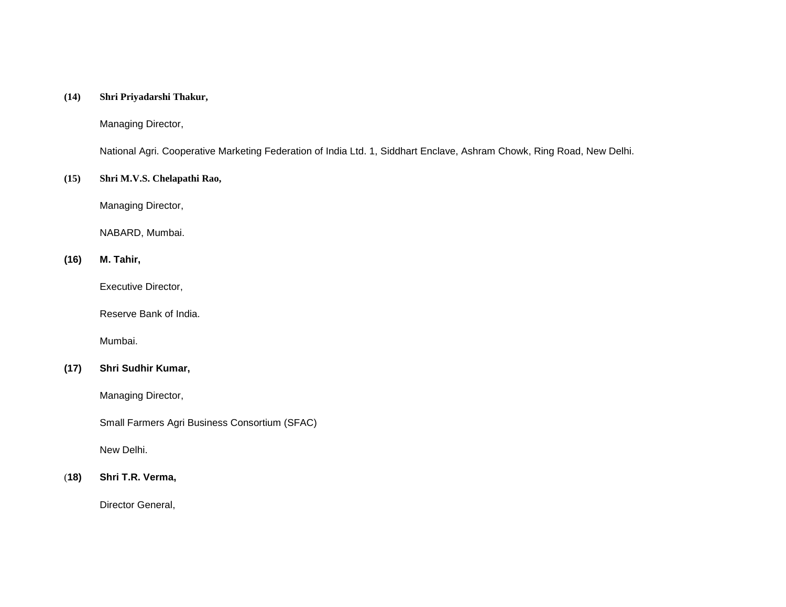#### **(14) Shri Priyadarshi Thakur,**

Managing Director,

National Agri. Cooperative Marketing Federation of India Ltd. 1, Siddhart Enclave, Ashram Chowk, Ring Road, New Delhi.

#### **(15) Shri M.V.S. Chelapathi Rao,**

Managing Director,

NABARD, Mumbai.

## **(16) M. Tahir,**

Executive Director,

Reserve Bank of India.

Mumbai.

# **(17) Shri Sudhir Kumar,**

Managing Director,

Small Farmers Agri Business Consortium (SFAC)

New Delhi.

#### (**18) Shri T.R. Verma,**

Director General,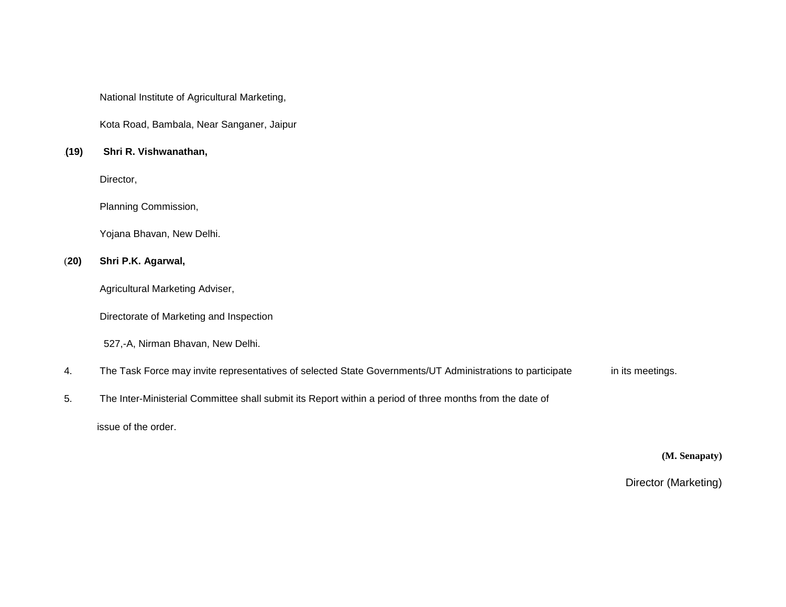National Institute of Agricultural Marketing,

Kota Road, Bambala, Near Sanganer, Jaipur

#### .**(19) Shri R. Vishwanathan,**

Director,

Planning Commission,

Yojana Bhavan, New Delhi.

#### (**20) Shri P.K. Agarwal,**

Agricultural Marketing Adviser,

Directorate of Marketing and Inspection

527,-A, Nirman Bhavan, New Delhi.

- 4. The Task Force may invite representatives of selected State Governments/UT Administrations to participate in its meetings.
- 5. The Inter-Ministerial Committee shall submit its Report within a period of three months from the date of

issue of the order.

**(M. Senapaty)**

Director (Marketing)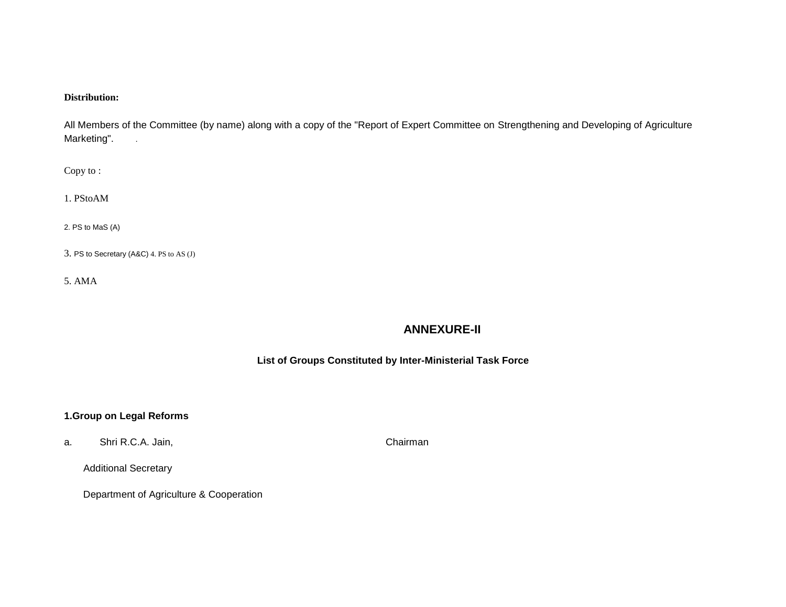## **Distribution:**

All Members of the Committee (by name) along with a copy of the "Report of Expert Committee on Strengthening and Developing of Agriculture Marketing".

Copy to :

1. PStoAM

2. PS to MaS (A)

3. PS to Secretary (A&C) 4. PS to AS (J)

5. AMA

# **ANNEXURE-II**

## **List of Groups Constituted by Inter-Ministerial Task Force**

## **1.Group on Legal Reforms**

a. Shri R.C.A. Jain, Chairman Shri R.C.A. Jain,

Additional Secretary

Department of Agriculture & Cooperation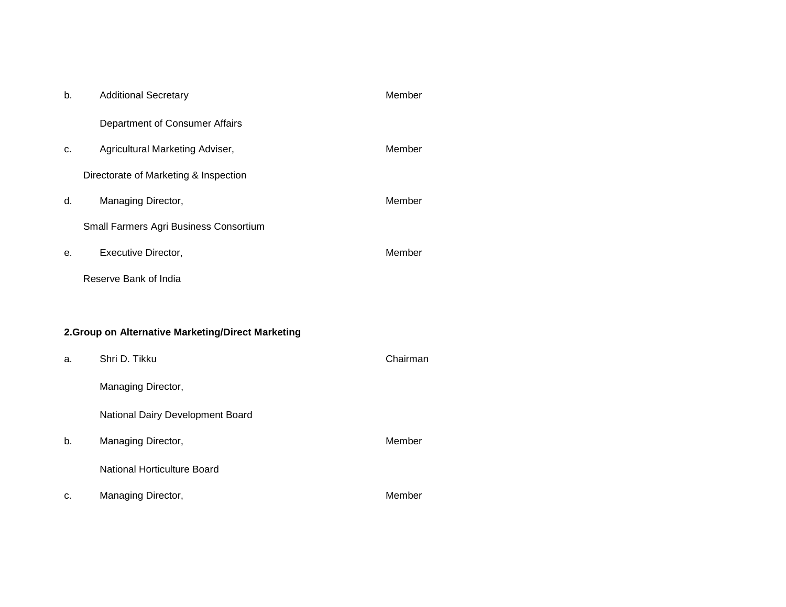| b. | <b>Additional Secretary</b>                        | Member   |
|----|----------------------------------------------------|----------|
|    | Department of Consumer Affairs                     |          |
| c. | Agricultural Marketing Adviser,                    | Member   |
|    | Directorate of Marketing & Inspection              |          |
| d. | Managing Director,                                 | Member   |
|    | Small Farmers Agri Business Consortium             |          |
| е. | Executive Director,                                | Member   |
|    | Reserve Bank of India                              |          |
|    |                                                    |          |
|    | 2. Group on Alternative Marketing/Direct Marketing |          |
| a. | Shri D. Tikku                                      | Chairman |
|    | Managing Director,                                 |          |
|    | National Dairy Development Board                   |          |
| b. | Managing Director,                                 | Member   |
|    | National Horticulture Board                        |          |
| c. | Managing Director,                                 | Member   |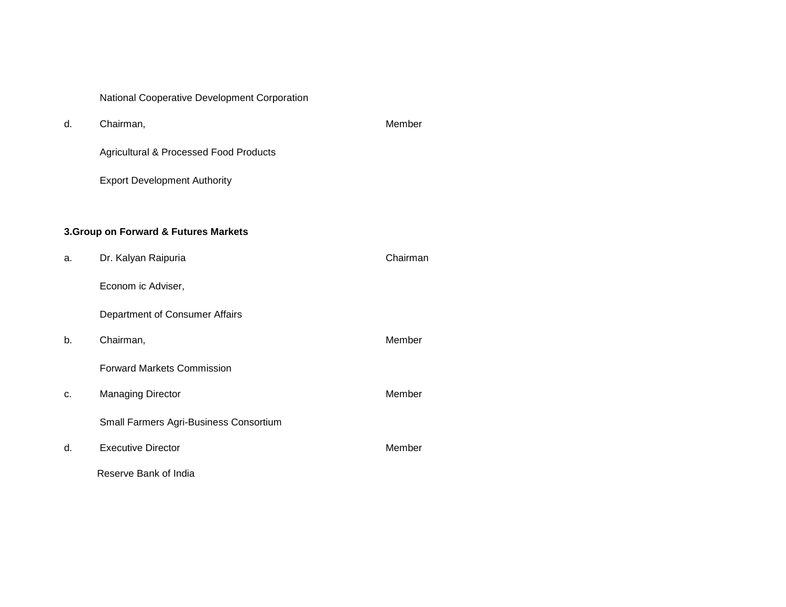National Cooperative Development Corporation

d. Chairman, and the chairman, and the chairman of the chairman of the chairman of the chairman of the chairman of the chairman of the chairman of the chairman of the chairman of the chairman of the chairman of the chairma Agricultural & Processed Food Products

Export Development Authority

# **3.Group on Forward & Futures Markets**

| a. | Dr. Kalyan Raipuria                    | Chairman |
|----|----------------------------------------|----------|
|    | Econom ic Adviser,                     |          |
|    | Department of Consumer Affairs         |          |
| b. | Chairman,                              | Member   |
|    | <b>Forward Markets Commission</b>      |          |
| c. | <b>Managing Director</b>               | Member   |
|    | Small Farmers Agri-Business Consortium |          |
| d. | <b>Executive Director</b>              | Member   |
|    | Reserve Bank of India                  |          |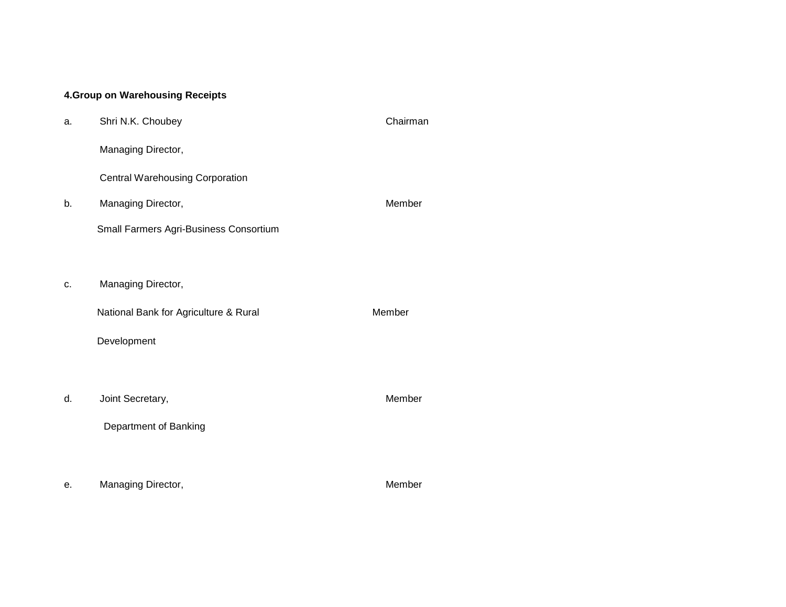# **4.Group on Warehousing Receipts**

| a. | Shri N.K. Choubey                      | Chairman |
|----|----------------------------------------|----------|
|    | Managing Director,                     |          |
|    | <b>Central Warehousing Corporation</b> |          |
| b. | Managing Director,                     | Member   |
|    | Small Farmers Agri-Business Consortium |          |
|    |                                        |          |
| c. | Managing Director,                     |          |
|    | National Bank for Agriculture & Rural  | Member   |
|    | Development                            |          |
|    |                                        |          |
| d. | Joint Secretary,                       | Member   |
|    | Department of Banking                  |          |
|    |                                        |          |
| е. | Managing Director,                     | Member   |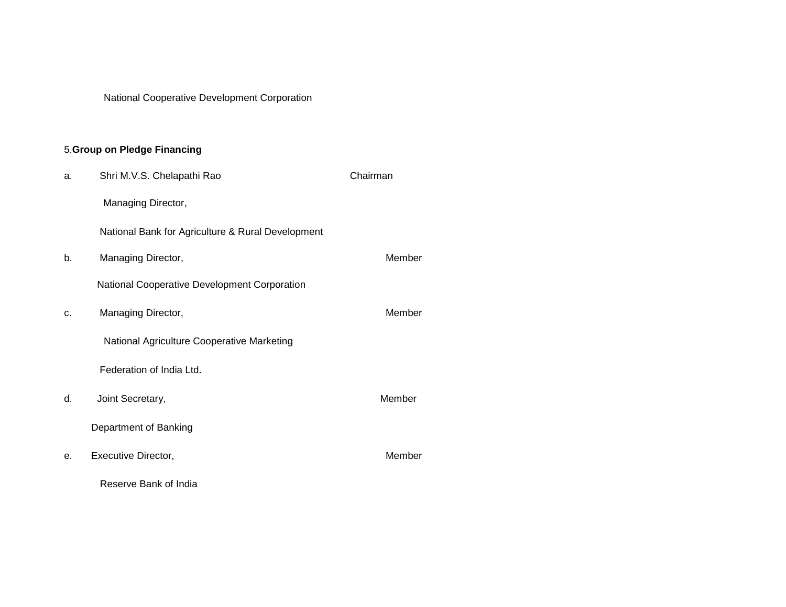National Cooperative Development Corporation

# 5.**Group on Pledge Financing**

| a. | Shri M.V.S. Chelapathi Rao                        | Chairman |
|----|---------------------------------------------------|----------|
|    | Managing Director,                                |          |
|    | National Bank for Agriculture & Rural Development |          |
| b. | Managing Director,                                | Member   |
|    | National Cooperative Development Corporation      |          |
| c. | Managing Director,                                | Member   |
|    | National Agriculture Cooperative Marketing        |          |
|    | Federation of India Ltd.                          |          |
| d. | Joint Secretary,                                  | Member   |
|    | Department of Banking                             |          |
| е. | Executive Director,                               | Member   |
|    | Reserve Bank of India                             |          |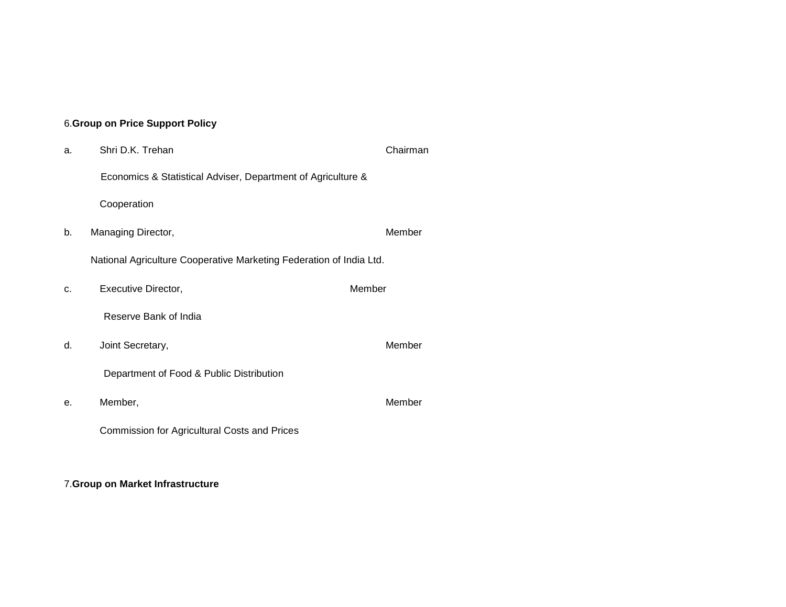## 6.**Group on Price Support Policy**

a. Shri D.K. Trehan Chairman Chairman Economics & Statistical Adviser, Department of Agriculture & Cooperation b. Managing Director, and the control of the Member National Agriculture Cooperative Marketing Federation of India Ltd. c. Executive Director, Member Reserve Bank of India d. Joint Secretary, and the secretary of the secretary of the secretary of the secretary of the secretary of the secretary of the secretary of the secretary of the secretary of the secretary of the secretary of the secreta Department of Food & Public Distribution e. Member, Member Commission for Agricultural Costs and Prices

## 7.**Group on Market Infrastructure**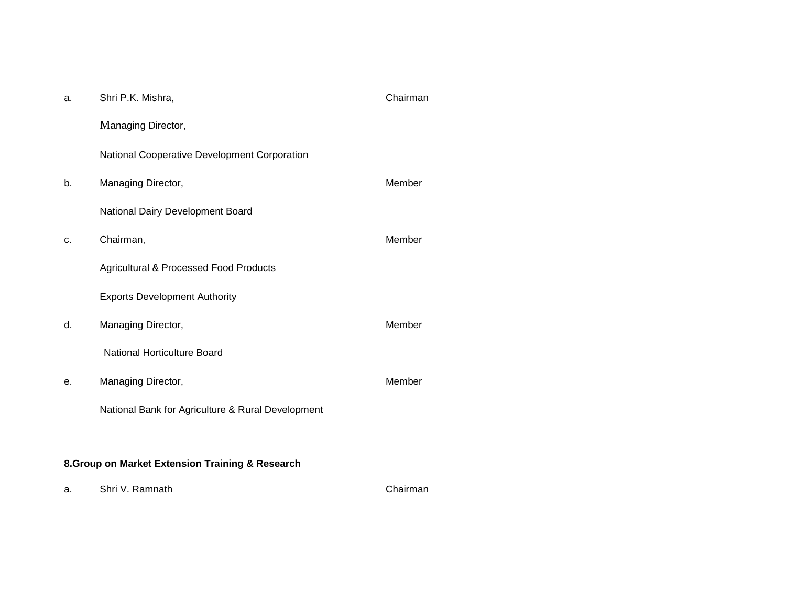| a. | Shri P.K. Mishra,                                 | Chairman |  |  |  |  |
|----|---------------------------------------------------|----------|--|--|--|--|
|    | Managing Director,                                |          |  |  |  |  |
|    | National Cooperative Development Corporation      |          |  |  |  |  |
| b. | Managing Director,                                | Member   |  |  |  |  |
|    | National Dairy Development Board                  |          |  |  |  |  |
| c. | Chairman,                                         | Member   |  |  |  |  |
|    | <b>Agricultural &amp; Processed Food Products</b> |          |  |  |  |  |
|    | <b>Exports Development Authority</b>              |          |  |  |  |  |
| d. | Managing Director,                                | Member   |  |  |  |  |
|    | National Horticulture Board                       |          |  |  |  |  |
| е. | Managing Director,                                | Member   |  |  |  |  |
|    | National Bank for Agriculture & Rural Development |          |  |  |  |  |
|    |                                                   |          |  |  |  |  |
|    | 8. Group on Market Extension Training & Research  |          |  |  |  |  |

a. Shri V. Ramnath Chairman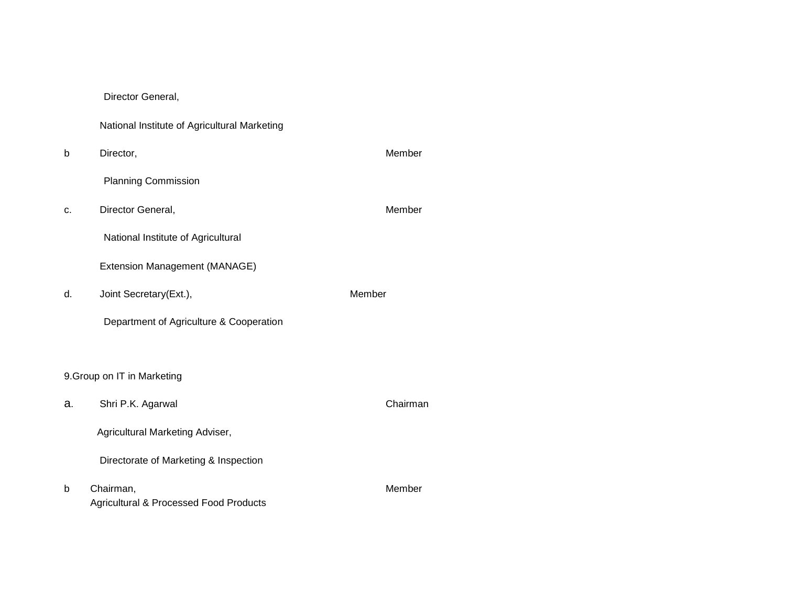Director General,

|  |  | National Institute of Agricultural Marketing |  |
|--|--|----------------------------------------------|--|
|--|--|----------------------------------------------|--|

b Director, Member Planning Commission c. Director General, Member National Institute of Agricultural Extension Management (MANAGE) d. Joint Secretary(Ext.), Member Department of Agriculture & Cooperation 9.Group on IT in Marketing a. Shri P.K. Agarwal Chairman Agricultural Marketing Adviser, Directorate of Marketing & Inspection b Chairman, Member Agricultural & Processed Food Products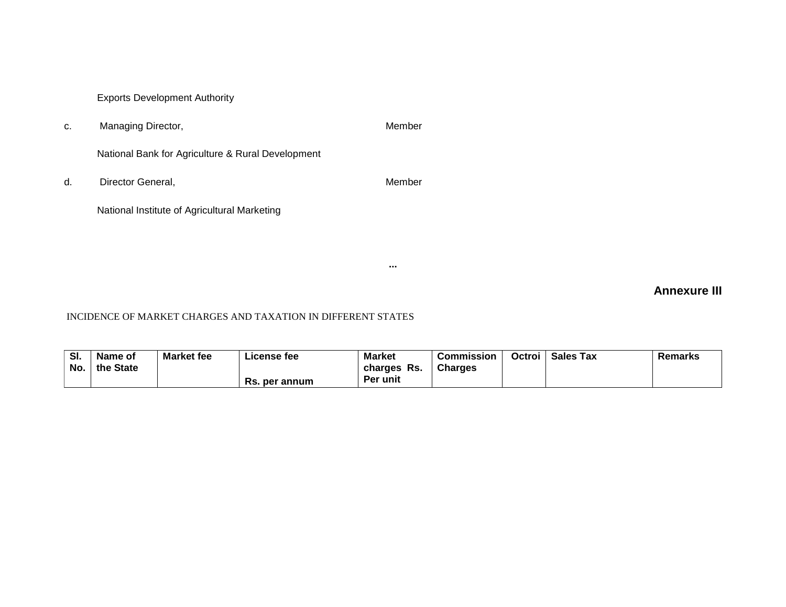Exports Development Authority

c. Managing Director, The Contractor of the Member

National Bank for Agriculture & Rural Development

d. Director General, Member

National Institute of Agricultural Marketing

**Annexure III**

# INCIDENCE OF MARKET CHARGES AND TAXATION IN DIFFERENT STATES

| SI. | Name of   | <b>Market fee</b> | License fee      | <b>Market</b>   | <b>Commission</b> | Octroi | <b>Sales Tax</b> | Remarks |
|-----|-----------|-------------------|------------------|-----------------|-------------------|--------|------------------|---------|
| No. | the State |                   |                  | -Rs.<br>charges | <b>Charges</b>    |        |                  |         |
|     |           |                   | Rs.<br>per annum | <b>Per unit</b> |                   |        |                  |         |

**...**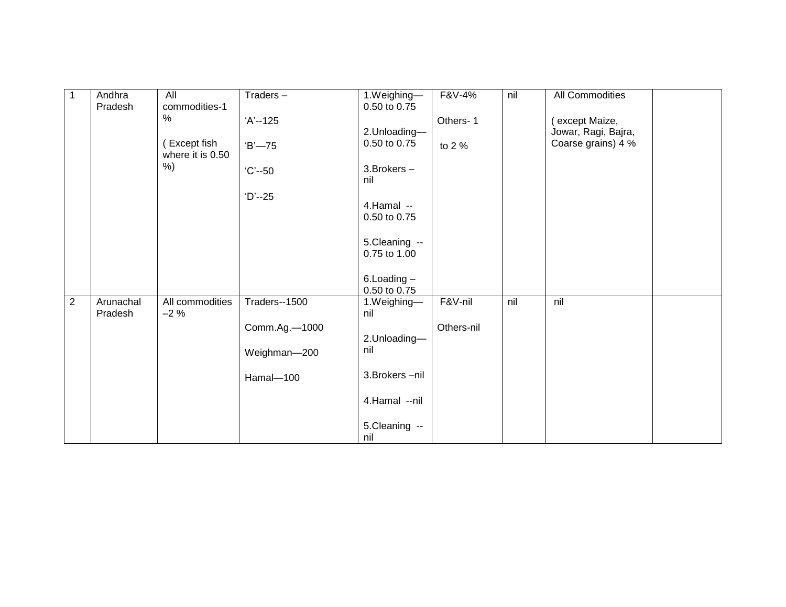| 1              | Andhra<br>Pradesh    | All<br>commodities-1             | $Traders -$   | 1.Weighing-<br>0.50 to 0.75 | F&V-4%     | nil | All Commodities     |
|----------------|----------------------|----------------------------------|---------------|-----------------------------|------------|-----|---------------------|
|                |                      | $\%$                             | $'A' - 125$   |                             | Others-1   |     | (except Maize,      |
|                |                      |                                  |               | 2.Unloading-                |            |     | Jowar, Ragi, Bajra, |
|                |                      | (Except fish<br>where it is 0.50 | $B - 75$      | 0.50 to 0.75                | to 2 %     |     | Coarse grains) 4 %  |
|                |                      | $%$ )                            | $°C - 50$     | 3. Brokers -<br>nil         |            |     |                     |
|                |                      |                                  | $D' - 25$     |                             |            |     |                     |
|                |                      |                                  |               | 4.Hamal --<br>0.50 to 0.75  |            |     |                     |
|                |                      |                                  |               | 5.Cleaning --               |            |     |                     |
|                |                      |                                  |               | 0.75 to 1.00                |            |     |                     |
|                |                      |                                  |               | $6$ . Loading $-$           |            |     |                     |
|                |                      |                                  |               | 0.50 to 0.75                |            |     |                     |
| $\overline{c}$ | Arunachal<br>Pradesh | All commodities<br>$-2%$         | Traders--1500 | 1.Weighing-<br>nil          | F&V-nil    | nil | nil                 |
|                |                      |                                  | Comm.Ag.-1000 |                             | Others-nil |     |                     |
|                |                      |                                  |               | 2.Unloading-                |            |     |                     |
|                |                      |                                  | Weighman-200  | nil                         |            |     |                     |
|                |                      |                                  | Hamal-100     | 3. Brokers - nil            |            |     |                     |
|                |                      |                                  |               | 4.Hamal --nil               |            |     |                     |
|                |                      |                                  |               | 5.Cleaning --<br>nil        |            |     |                     |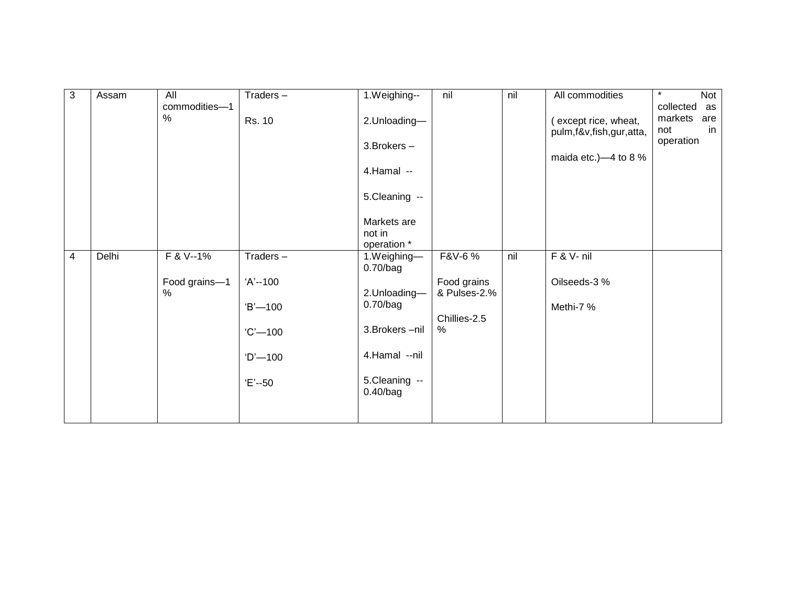| $\mathbf{3}$ | Assam | All           | Traders-    | 1.Weighing--              | nil          | nil | All commodities         | Not<br>$\star$  |
|--------------|-------|---------------|-------------|---------------------------|--------------|-----|-------------------------|-----------------|
|              |       | commodities-1 |             |                           |              |     |                         | collected<br>as |
|              |       | $\%$          | Rs. 10      | 2.Unloading-              |              |     | (except rice, wheat,    | markets<br>are  |
|              |       |               |             |                           |              |     | pulm,f&v,fish,gur,atta, | in<br>not       |
|              |       |               |             | 3. Brokers -              |              |     |                         | operation       |
|              |       |               |             |                           |              |     | maida etc.) $-4$ to 8 % |                 |
|              |       |               |             | 4.Hamal --                |              |     |                         |                 |
|              |       |               |             | 5.Cleaning --             |              |     |                         |                 |
|              |       |               |             | Markets are               |              |     |                         |                 |
|              |       |               |             | not in                    |              |     |                         |                 |
|              |       |               |             | operation *               |              |     |                         |                 |
| 4            | Delhi | F & V--1%     | Traders-    | 1.Weighing-<br>0.70/bag   | F&V-6 %      | nil | $F & V - nil$           |                 |
|              |       | Food grains-1 | 'A'--100    |                           | Food grains  |     | Oilseeds-3 %            |                 |
|              |       | $\%$          |             | 2.Unloading-              | & Pulses-2.% |     |                         |                 |
|              |       |               | $B' - 100$  | 0.70/bag                  |              |     | Methi-7 %               |                 |
|              |       |               |             |                           | Chillies-2.5 |     |                         |                 |
|              |       |               | $°C'$ – 100 | 3. Brokers - nil          | %            |     |                         |                 |
|              |       |               | $D'$ -100   | 4.Hamal --nil             |              |     |                         |                 |
|              |       |               | $E - 50$    | 5.Cleaning --<br>0.40/bag |              |     |                         |                 |
|              |       |               |             |                           |              |     |                         |                 |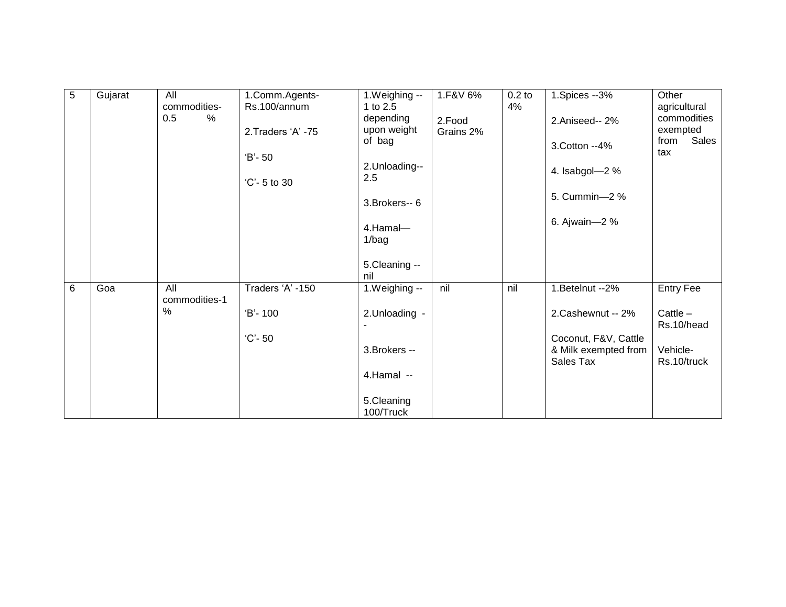| $\overline{5}$ | Gujarat | All           | 1.Comm.Agents-     | $1.$ Weighing $-$ | 1.F&V 6%  | $0.2$ to | 1.Spices --3%                                | Other            |
|----------------|---------|---------------|--------------------|-------------------|-----------|----------|----------------------------------------------|------------------|
|                |         | commodities-  | Rs.100/annum       | 1 to 2.5          |           | 4%       |                                              | agricultural     |
|                |         | $\%$<br>0.5   |                    | depending         | 2.Food    |          | 2.Aniseed--2%                                | commodities      |
|                |         |               | 2. Traders 'A' -75 | upon weight       | Grains 2% |          |                                              | exempted         |
|                |         |               |                    | of bag            |           |          |                                              | Sales<br>from    |
|                |         |               |                    |                   |           |          | 3. Cotton --4%                               | tax              |
|                |         |               | $'B - 50$          | 2.Unloading--     |           |          |                                              |                  |
|                |         |               |                    | 2.5               |           |          | 4. Isabgol-2 %                               |                  |
|                |         |               | 'C'- 5 to 30       |                   |           |          |                                              |                  |
|                |         |               |                    |                   |           |          | 5. Cummin-2%                                 |                  |
|                |         |               |                    | 3. Brokers-- 6    |           |          |                                              |                  |
|                |         |               |                    |                   |           |          | 6. Ajwain-2 %                                |                  |
|                |         |               |                    | 4.Hamal-          |           |          |                                              |                  |
|                |         |               |                    | 1/bag             |           |          |                                              |                  |
|                |         |               |                    |                   |           |          |                                              |                  |
|                |         |               |                    | 5.Cleaning --     |           |          |                                              |                  |
|                |         |               |                    | nil               |           |          |                                              |                  |
| 6              | Goa     | All           | Traders 'A' -150   | 1. Weighing --    | nil       | nil      | 1.Betelnut -- 2%                             | <b>Entry Fee</b> |
|                |         | commodities-1 |                    |                   |           |          |                                              |                  |
|                |         | $\%$          | 'B'-100            | 2.Unloading -     |           |          | 2.Cashewnut -- 2%                            | Cattle $-$       |
|                |         |               |                    |                   |           |          |                                              | Rs.10/head       |
|                |         |               | $°C - 50$          |                   |           |          |                                              |                  |
|                |         |               |                    | 3. Brokers --     |           |          | Coconut, F&V, Cattle<br>& Milk exempted from | Vehicle-         |
|                |         |               |                    |                   |           |          | Sales Tax                                    | Rs.10/truck      |
|                |         |               |                    |                   |           |          |                                              |                  |
|                |         |               |                    | 4.Hamal --        |           |          |                                              |                  |
|                |         |               |                    |                   |           |          |                                              |                  |
|                |         |               |                    | 5.Cleaning        |           |          |                                              |                  |
|                |         |               |                    | 100/Truck         |           |          |                                              |                  |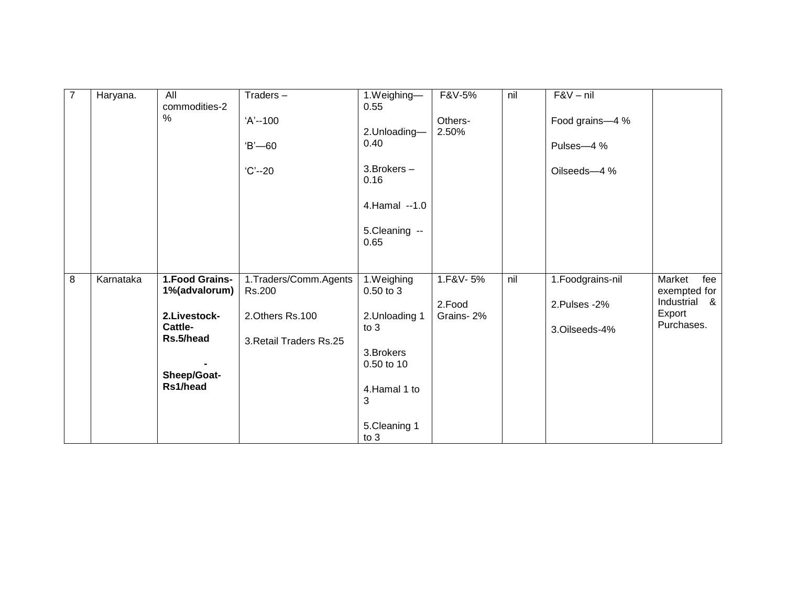| $\overline{7}$ | Haryana.  | All<br>commodities-2    | $Traders -$              | 1.Weighing-<br>0.55      | F&V-5%           | nil | $F&V - nil$                  |                              |
|----------------|-----------|-------------------------|--------------------------|--------------------------|------------------|-----|------------------------------|------------------------------|
|                |           | $\%$                    | 'A'--100<br>$B - 60$     | 2.Unloading-<br>0.40     | Others-<br>2.50% |     | Food grains-4 %<br>Pulses-4% |                              |
|                |           |                         | $°C - 20$                | $3.$ Brokers $-$<br>0.16 |                  |     | Oilseeds-4 %                 |                              |
|                |           |                         |                          | 4.Hamal --1.0            |                  |     |                              |                              |
|                |           |                         |                          | 5.Cleaning --<br>0.65    |                  |     |                              |                              |
| 8              | Karnataka | 1. Food Grains-         | 1. Traders/Comm. Agents  | 1.Weighing               | 1.F&V-5%         | nil | 1. Foodgrains-nil            | Market<br>fee                |
|                |           | 1%(advalorum)           | Rs.200                   | 0.50 to 3                | 2.Food           |     | 2.Pulses - 2%                | exempted for<br>Industrial & |
|                |           | 2.Livestock-<br>Cattle- | 2.Others Rs.100          | 2.Unloading 1<br>to 3    | Grains-2%        |     | 3.Oilseeds-4%                | Export<br>Purchases.         |
|                |           | Rs.5/head               | 3. Retail Traders Rs. 25 | 3. Brokers<br>0.50 to 10 |                  |     |                              |                              |
|                |           | Sheep/Goat-<br>Rs1/head |                          | 4.Hamal 1 to<br>3        |                  |     |                              |                              |
|                |           |                         |                          | 5.Cleaning 1<br>to $3$   |                  |     |                              |                              |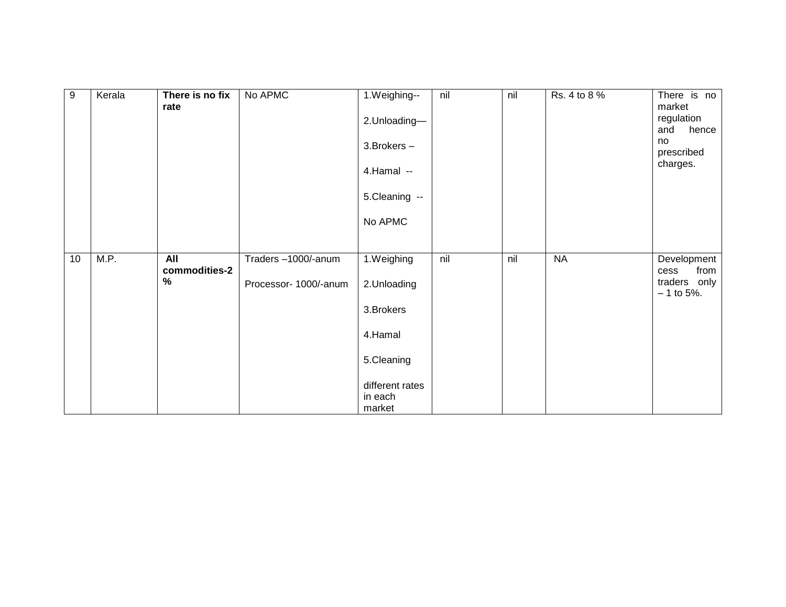| $9\,$ | Kerala | There is no fix<br>rate          | No APMC                                     | 1.Weighing--<br>2.Unloading-<br>3. Brokers -<br>4.Hamal --<br>5.Cleaning --<br>No APMC                   | nil | nil | Rs. 4 to 8 % | There is no<br>market<br>regulation<br>hence<br>and<br>no<br>prescribed<br>charges. |
|-------|--------|----------------------------------|---------------------------------------------|----------------------------------------------------------------------------------------------------------|-----|-----|--------------|-------------------------------------------------------------------------------------|
| 10    | M.P.   | <b>All</b><br>commodities-2<br>% | Traders-1000/-anum<br>Processor- 1000/-anum | 1.Weighing<br>2.Unloading<br>3. Brokers<br>4.Hamal<br>5.Cleaning<br>different rates<br>in each<br>market | nil | nil | <b>NA</b>    | Development<br>from<br>cess<br>traders only<br>$-1$ to 5%.                          |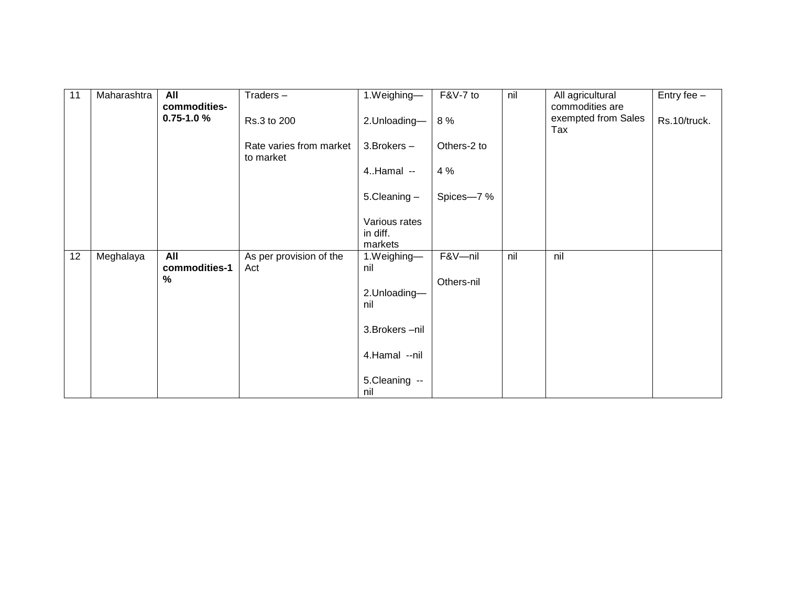| 11 | Maharashtra | All                            | $Traders -$                          | 1.Weighing-                          | $F&V-7$ to  | nil | All agricultural                              | Entry fee $-$ |
|----|-------------|--------------------------------|--------------------------------------|--------------------------------------|-------------|-----|-----------------------------------------------|---------------|
|    |             | commodities-<br>$0.75 - 1.0 %$ | Rs.3 to 200                          | 2.Unloading-                         | 8 %         |     | commodities are<br>exempted from Sales<br>Tax | Rs.10/truck.  |
|    |             |                                | Rate varies from market<br>to market | 3. Brokers -                         | Others-2 to |     |                                               |               |
|    |             |                                |                                      | $4.$ Hamal $-$                       | 4 %         |     |                                               |               |
|    |             |                                |                                      | 5.Cleaning -                         | Spices-7%   |     |                                               |               |
|    |             |                                |                                      | Various rates<br>in diff.<br>markets |             |     |                                               |               |
| 12 | Meghalaya   | All<br>commodities-1           | As per provision of the<br>Act       | 1.Weighing-<br>nil                   | F&V-nil     | nil | nil                                           |               |
|    |             | $\%$                           |                                      |                                      | Others-nil  |     |                                               |               |
|    |             |                                |                                      | 2.Unloading-<br>nil                  |             |     |                                               |               |
|    |             |                                |                                      | 3. Brokers - nil                     |             |     |                                               |               |
|    |             |                                |                                      | 4.Hamal --nil                        |             |     |                                               |               |
|    |             |                                |                                      | 5.Cleaning --<br>nil                 |             |     |                                               |               |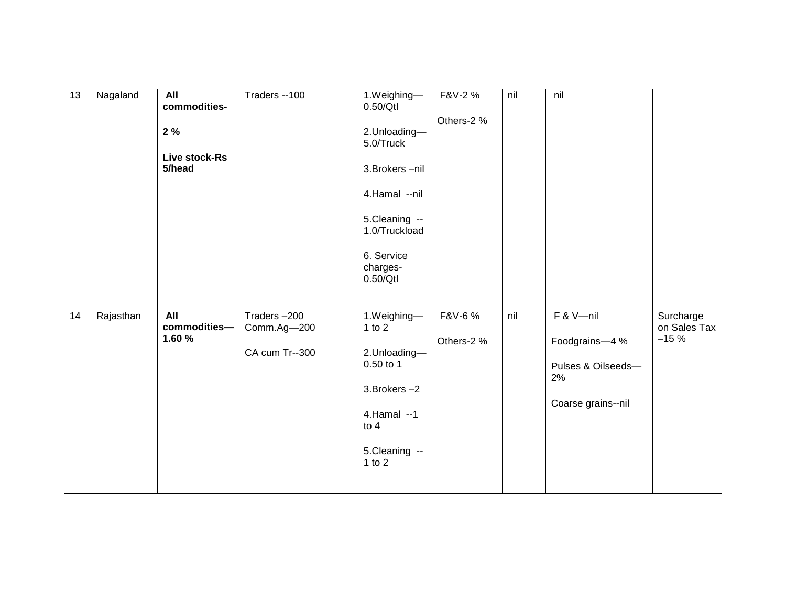| $\overline{13}$ | Nagaland  | <b>All</b><br>commodities-<br>2%<br>Live stock-Rs<br>5/head | Traders -- 100                               | 1.Weighing-<br>0.50/Qt<br>2.Unloading-<br>5.0/Truck<br>3. Brokers - nil<br>4.Hamal --nil<br>5.Cleaning --<br>1.0/Truckload<br>6. Service<br>charges-<br>0.50/Qt | F&V-2 %<br>Others-2 % | nil | nil                                                                              |                                     |
|-----------------|-----------|-------------------------------------------------------------|----------------------------------------------|-----------------------------------------------------------------------------------------------------------------------------------------------------------------|-----------------------|-----|----------------------------------------------------------------------------------|-------------------------------------|
| 14              | Rajasthan | All<br>commodities-<br>1.60 %                               | Traders-200<br>Comm.Ag-200<br>CA cum Tr--300 | 1.Weighing-<br>1 to $2$<br>2.Unloading-<br>0.50 to 1<br>3. Brokers -2<br>4. Hamal -- 1<br>to $4$<br>5.Cleaning --<br>$1$ to $2$                                 | F&V-6 %<br>Others-2 % | nil | $F & V$ -nil<br>Foodgrains-4 %<br>Pulses & Oilseeds-<br>2%<br>Coarse grains--nil | Surcharge<br>on Sales Tax<br>$-15%$ |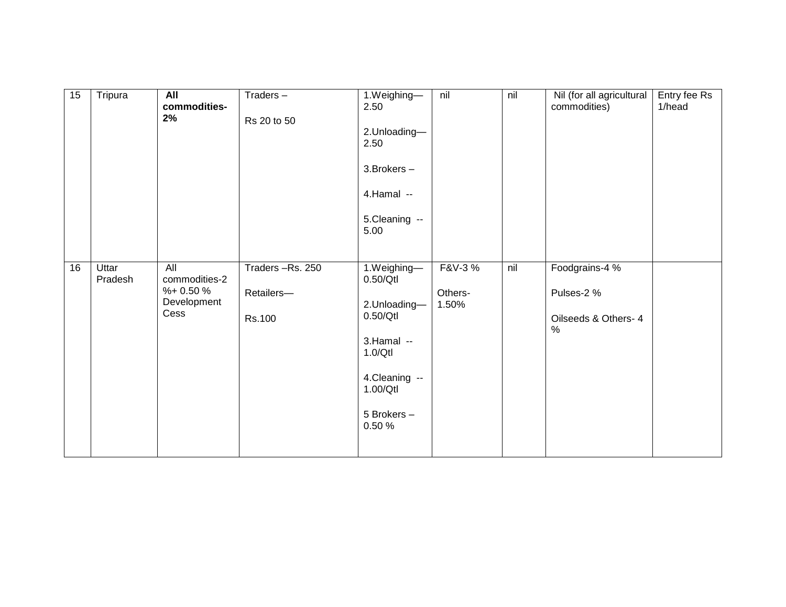| 15 | Tripura          | All<br>commodities-<br>2%                                | Traders-<br>Rs 20 to 50                 | 1.Weighing-<br>2.50<br>2.Unloading-<br>2.50<br>3. Brokers -<br>4.Hamal --<br>5.Cleaning --<br>5.00                              | nil                        | nil | Nil (for all agricultural<br>commodities)                    | Entry fee Rs<br>1/head |
|----|------------------|----------------------------------------------------------|-----------------------------------------|---------------------------------------------------------------------------------------------------------------------------------|----------------------------|-----|--------------------------------------------------------------|------------------------|
| 16 | Uttar<br>Pradesh | All<br>commodities-2<br>$%+0.50%$<br>Development<br>Cess | Traders-Rs. 250<br>Retailers-<br>Rs.100 | 1.Weighing-<br>0.50/Qt<br>2.Unloading-<br>0.50/Qt<br>3.Hamal --<br>1.0/Qt<br>4. Cleaning --<br>1.00/Qtl<br>5 Brokers -<br>0.50% | F&V-3%<br>Others-<br>1.50% | nil | Foodgrains-4 %<br>Pulses-2 %<br>Oilseeds & Others- 4<br>$\%$ |                        |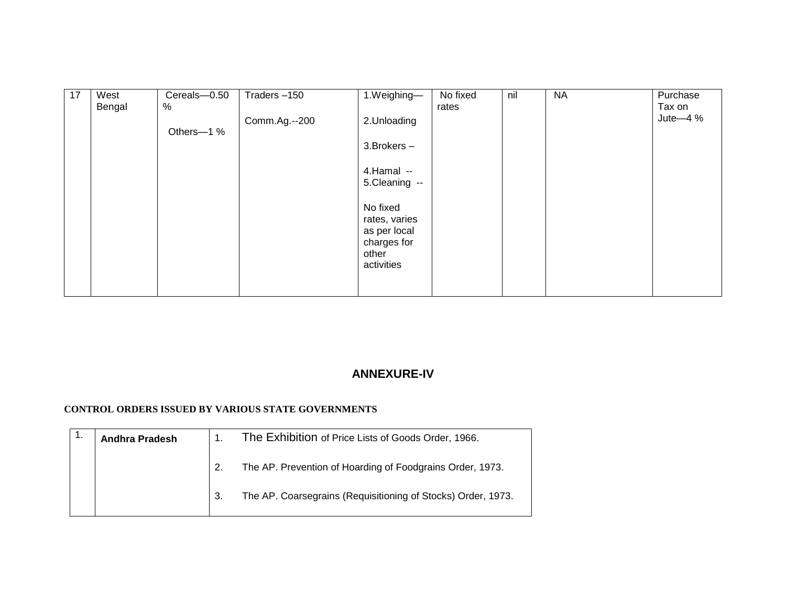| 17 | West   | Cereals-0.50 | Traders-150   | 1.Weighing-                 | No fixed | nil | <b>NA</b> | Purchase    |
|----|--------|--------------|---------------|-----------------------------|----------|-----|-----------|-------------|
|    | Bengal | $\%$         |               |                             | rates    |     |           | Tax on      |
|    |        |              | Comm.Ag.--200 | 2.Unloading                 |          |     |           | Jute $-4\%$ |
|    |        | Others-1 %   |               |                             |          |     |           |             |
|    |        |              |               | 3. Brokers -                |          |     |           |             |
|    |        |              |               |                             |          |     |           |             |
|    |        |              |               | 4.Hamal --                  |          |     |           |             |
|    |        |              |               | 5.Cleaning --               |          |     |           |             |
|    |        |              |               |                             |          |     |           |             |
|    |        |              |               | No fixed                    |          |     |           |             |
|    |        |              |               | rates, varies               |          |     |           |             |
|    |        |              |               | as per local<br>charges for |          |     |           |             |
|    |        |              |               | other                       |          |     |           |             |
|    |        |              |               | activities                  |          |     |           |             |
|    |        |              |               |                             |          |     |           |             |
|    |        |              |               |                             |          |     |           |             |

# **ANNEXURE-IV**

## **CONTROL ORDERS ISSUED BY VARIOUS STATE GOVERNMENTS**

| <b>Andhra Pradesh</b> |    | The Exhibition of Price Lists of Goods Order, 1966.          |
|-----------------------|----|--------------------------------------------------------------|
|                       |    | The AP. Prevention of Hoarding of Foodgrains Order, 1973.    |
|                       | 3. | The AP. Coarsegrains (Requisitioning of Stocks) Order, 1973. |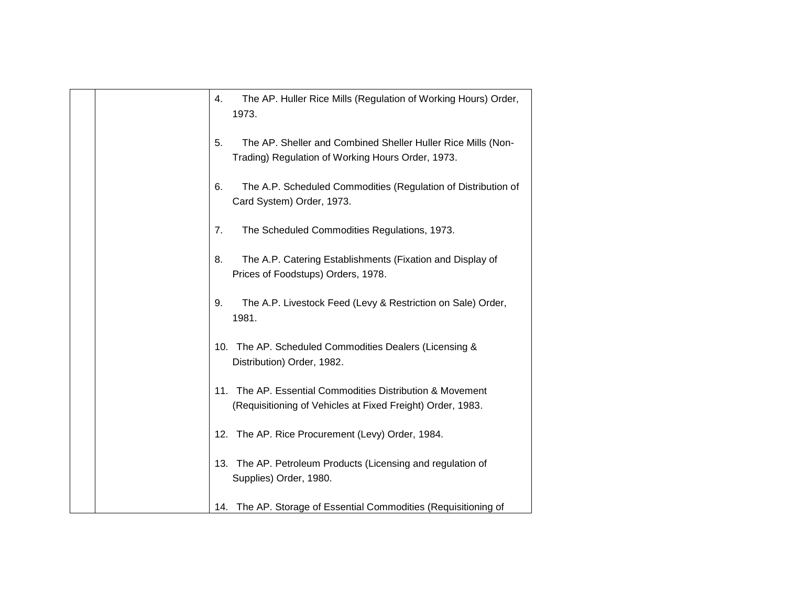| 4.  | The AP. Huller Rice Mills (Regulation of Working Hours) Order,<br>1973.                                                 |
|-----|-------------------------------------------------------------------------------------------------------------------------|
| 5.  | The AP. Sheller and Combined Sheller Huller Rice Mills (Non-<br>Trading) Regulation of Working Hours Order, 1973.       |
| 6.  | The A.P. Scheduled Commodities (Regulation of Distribution of<br>Card System) Order, 1973.                              |
| 7.  | The Scheduled Commodities Regulations, 1973.                                                                            |
| 8.  | The A.P. Catering Establishments (Fixation and Display of<br>Prices of Foodstups) Orders, 1978.                         |
| 9.  | The A.P. Livestock Feed (Levy & Restriction on Sale) Order,<br>1981.                                                    |
| 10. | The AP. Scheduled Commodities Dealers (Licensing &<br>Distribution) Order, 1982.                                        |
|     | 11. The AP. Essential Commodities Distribution & Movement<br>(Requisitioning of Vehicles at Fixed Freight) Order, 1983. |
|     | 12. The AP. Rice Procurement (Levy) Order, 1984.                                                                        |
| 13. | The AP. Petroleum Products (Licensing and regulation of<br>Supplies) Order, 1980.                                       |
| 14. | The AP. Storage of Essential Commodities (Requisitioning of                                                             |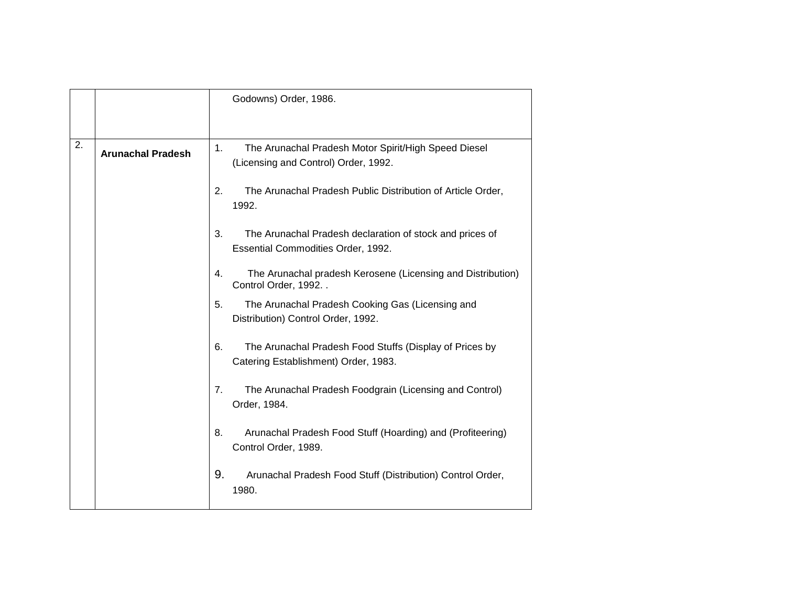|    |                          | Godowns) Order, 1986.                                                                                 |
|----|--------------------------|-------------------------------------------------------------------------------------------------------|
|    |                          |                                                                                                       |
| 2. | <b>Arunachal Pradesh</b> | 1.<br>The Arunachal Pradesh Motor Spirit/High Speed Diesel<br>(Licensing and Control) Order, 1992.    |
|    |                          | 2.<br>The Arunachal Pradesh Public Distribution of Article Order,<br>1992.                            |
|    |                          | 3.<br>The Arunachal Pradesh declaration of stock and prices of<br>Essential Commodities Order, 1992.  |
|    |                          | 4.<br>The Arunachal pradesh Kerosene (Licensing and Distribution)<br>Control Order, 1992. .           |
|    |                          | 5.<br>The Arunachal Pradesh Cooking Gas (Licensing and<br>Distribution) Control Order, 1992.          |
|    |                          | 6.<br>The Arunachal Pradesh Food Stuffs (Display of Prices by<br>Catering Establishment) Order, 1983. |
|    |                          | The Arunachal Pradesh Foodgrain (Licensing and Control)<br>7.<br>Order, 1984.                         |
|    |                          | 8.<br>Arunachal Pradesh Food Stuff (Hoarding) and (Profiteering)<br>Control Order, 1989.              |
|    |                          | 9.<br>Arunachal Pradesh Food Stuff (Distribution) Control Order,<br>1980.                             |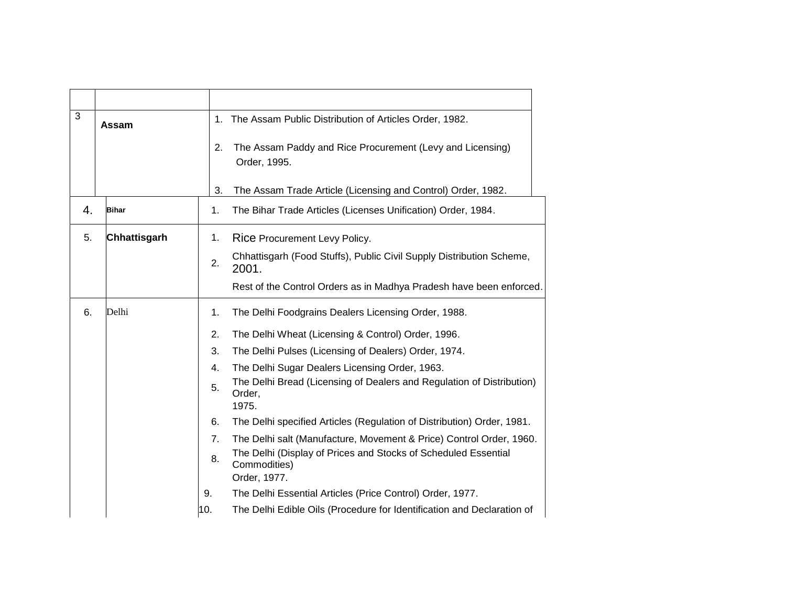| 3  | Assam        |     | 1. The Assam Public Distribution of Articles Order, 1982.                                      |
|----|--------------|-----|------------------------------------------------------------------------------------------------|
|    |              | 2.  | The Assam Paddy and Rice Procurement (Levy and Licensing)<br>Order, 1995.                      |
|    |              | 3.  | The Assam Trade Article (Licensing and Control) Order, 1982.                                   |
| 4. | <b>Bihar</b> | 1.  | The Bihar Trade Articles (Licenses Unification) Order, 1984.                                   |
| 5. | Chhattisgarh | 1.  | Rice Procurement Levy Policy.                                                                  |
|    |              | 2.  | Chhattisgarh (Food Stuffs), Public Civil Supply Distribution Scheme,<br>2001.                  |
|    |              |     | Rest of the Control Orders as in Madhya Pradesh have been enforced.                            |
| 6. | Delhi        | 1.  | The Delhi Foodgrains Dealers Licensing Order, 1988.                                            |
|    |              | 2.  | The Delhi Wheat (Licensing & Control) Order, 1996.                                             |
|    |              | 3.  | The Delhi Pulses (Licensing of Dealers) Order, 1974.                                           |
|    |              | 4.  | The Delhi Sugar Dealers Licensing Order, 1963.                                                 |
|    |              | 5.  | The Delhi Bread (Licensing of Dealers and Regulation of Distribution)<br>Order,<br>1975.       |
|    |              | 6.  | The Delhi specified Articles (Regulation of Distribution) Order, 1981.                         |
|    |              | 7.  | The Delhi salt (Manufacture, Movement & Price) Control Order, 1960.                            |
|    |              | 8.  | The Delhi (Display of Prices and Stocks of Scheduled Essential<br>Commodities)<br>Order, 1977. |
|    |              | 9.  | The Delhi Essential Articles (Price Control) Order, 1977.                                      |
|    |              | 10. | The Delhi Edible Oils (Procedure for Identification and Declaration of                         |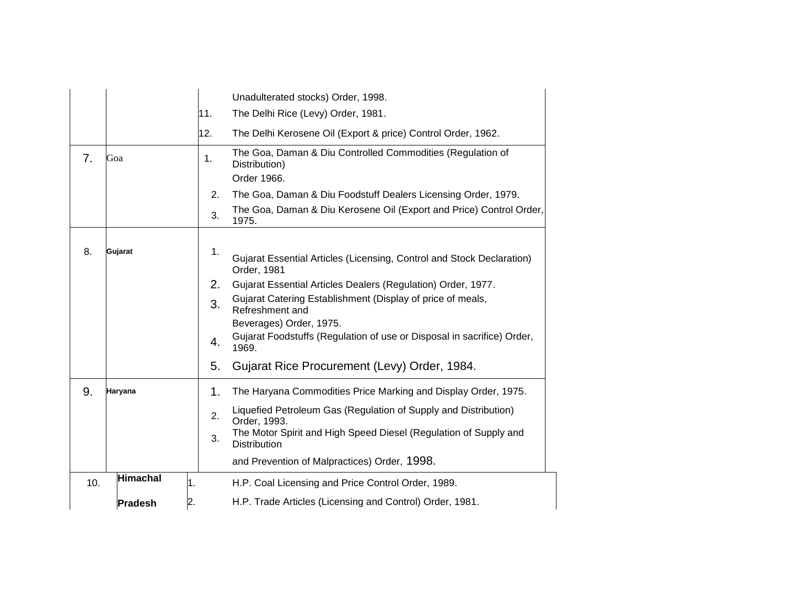|     |                 |                  | Unadulterated stocks) Order, 1998.                                                      |
|-----|-----------------|------------------|-----------------------------------------------------------------------------------------|
|     |                 | 11.              | The Delhi Rice (Levy) Order, 1981.                                                      |
|     |                 | 12.              | The Delhi Kerosene Oil (Export & price) Control Order, 1962.                            |
| 7.  | Goa             | 1.               | The Goa, Daman & Diu Controlled Commodities (Regulation of<br>Distribution)             |
|     |                 |                  | Order 1966.                                                                             |
|     |                 | 2.               | The Goa, Daman & Diu Foodstuff Dealers Licensing Order, 1979.                           |
|     |                 | 3.               | The Goa, Daman & Diu Kerosene Oil (Export and Price) Control Order,<br>1975.            |
| 8.  | Gujarat         | 1.               | Gujarat Essential Articles (Licensing, Control and Stock Declaration)<br>Order, 1981    |
|     |                 | 2.               | Gujarat Essential Articles Dealers (Regulation) Order, 1977.                            |
|     |                 | 3.               | Gujarat Catering Establishment (Display of price of meals,<br>Refreshment and           |
|     |                 |                  | Beverages) Order, 1975.                                                                 |
|     |                 | 4.               | Gujarat Foodstuffs (Regulation of use or Disposal in sacrifice) Order,<br>1969.         |
|     |                 | 5.               | Gujarat Rice Procurement (Levy) Order, 1984.                                            |
| 9.  | Haryana         | 1.               | The Haryana Commodities Price Marking and Display Order, 1975.                          |
|     |                 | 2.               | Liquefied Petroleum Gas (Regulation of Supply and Distribution)<br>Order, 1993.         |
|     |                 | 3.               | The Motor Spirit and High Speed Diesel (Regulation of Supply and<br><b>Distribution</b> |
|     |                 |                  | and Prevention of Malpractices) Order, 1998.                                            |
| 10. | <b>Himachal</b> | $\overline{1}$ . | H.P. Coal Licensing and Price Control Order, 1989.                                      |
|     | <b>Pradesh</b>  | 2.               | H.P. Trade Articles (Licensing and Control) Order, 1981.                                |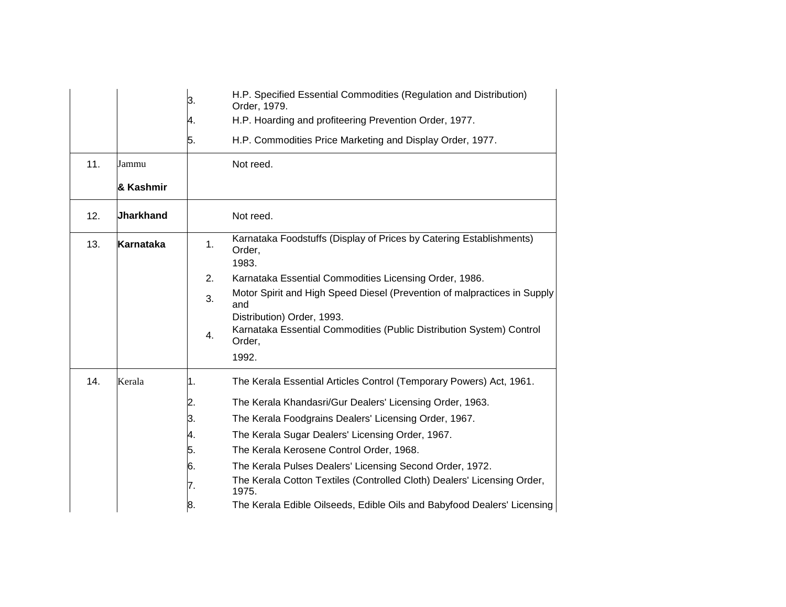|     |                  | З. | H.P. Specified Essential Commodities (Regulation and Distribution)<br>Order, 1979.     |
|-----|------------------|----|----------------------------------------------------------------------------------------|
|     |                  | 4. | H.P. Hoarding and profiteering Prevention Order, 1977.                                 |
|     |                  | 5. | H.P. Commodities Price Marketing and Display Order, 1977.                              |
| 11. | Jammu            |    | Not reed.                                                                              |
|     | & Kashmir        |    |                                                                                        |
| 12. | <b>Jharkhand</b> |    | Not reed.                                                                              |
| 13. | Karnataka        | 1. | Karnataka Foodstuffs (Display of Prices by Catering Establishments)<br>Order,<br>1983. |
|     |                  | 2. | Karnataka Essential Commodities Licensing Order, 1986.                                 |
|     |                  |    | Motor Spirit and High Speed Diesel (Prevention of malpractices in Supply               |
|     |                  | 3. | and                                                                                    |
|     |                  |    | Distribution) Order, 1993.                                                             |
|     |                  | 4. | Karnataka Essential Commodities (Public Distribution System) Control<br>Order,         |
|     |                  |    | 1992.                                                                                  |
| 14. | Kerala           | 1. | The Kerala Essential Articles Control (Temporary Powers) Act, 1961.                    |
|     |                  | 2. | The Kerala Khandasri/Gur Dealers' Licensing Order, 1963.                               |
|     |                  | 3. | The Kerala Foodgrains Dealers' Licensing Order, 1967.                                  |
|     |                  | 4. | The Kerala Sugar Dealers' Licensing Order, 1967.                                       |
|     |                  | 5. | The Kerala Kerosene Control Order, 1968.                                               |
|     |                  | 6. | The Kerala Pulses Dealers' Licensing Second Order, 1972.                               |
|     |                  | 7. | The Kerala Cotton Textiles (Controlled Cloth) Dealers' Licensing Order,<br>1975.       |
|     |                  | 8. | The Kerala Edible Oilseeds, Edible Oils and Babyfood Dealers' Licensing                |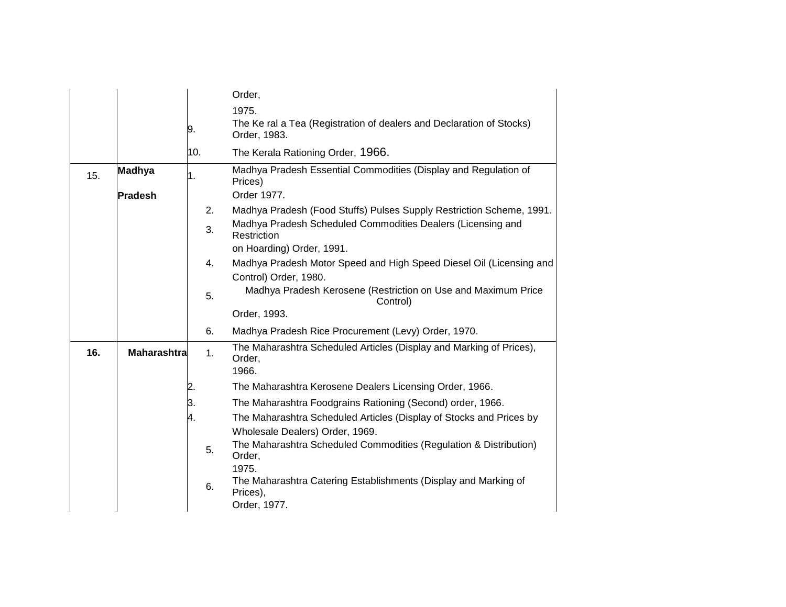|     |                    |     |    | Order,                                                                                               |
|-----|--------------------|-----|----|------------------------------------------------------------------------------------------------------|
|     |                    |     |    | 1975.                                                                                                |
|     |                    | 9.  |    | The Ke ral a Tea (Registration of dealers and Declaration of Stocks)<br>Order, 1983.                 |
|     |                    | 10. |    | The Kerala Rationing Order, 1966.                                                                    |
| 15. | <b>Madhya</b>      | 1.  |    | Madhya Pradesh Essential Commodities (Display and Regulation of<br>Prices)                           |
|     | <b>Pradesh</b>     |     |    | Order 1977.                                                                                          |
|     |                    |     | 2. | Madhya Pradesh (Food Stuffs) Pulses Supply Restriction Scheme, 1991.                                 |
|     |                    |     | 3. | Madhya Pradesh Scheduled Commodities Dealers (Licensing and<br>Restriction                           |
|     |                    |     |    | on Hoarding) Order, 1991.                                                                            |
|     |                    |     | 4. | Madhya Pradesh Motor Speed and High Speed Diesel Oil (Licensing and                                  |
|     |                    |     |    | Control) Order, 1980.                                                                                |
|     |                    |     | 5. | Madhya Pradesh Kerosene (Restriction on Use and Maximum Price<br>Control)                            |
|     |                    |     |    | Order, 1993.                                                                                         |
|     |                    |     | 6. | Madhya Pradesh Rice Procurement (Levy) Order, 1970.                                                  |
| 16. | <b>Maharashtra</b> |     | 1. | The Maharashtra Scheduled Articles (Display and Marking of Prices),<br>Order,<br>1966.               |
|     |                    | 2.  |    | The Maharashtra Kerosene Dealers Licensing Order, 1966.                                              |
|     |                    |     |    |                                                                                                      |
|     |                    | З.  |    | The Maharashtra Foodgrains Rationing (Second) order, 1966.                                           |
|     |                    | 4.  |    | The Maharashtra Scheduled Articles (Display of Stocks and Prices by                                  |
|     |                    |     |    | Wholesale Dealers) Order, 1969.<br>The Maharashtra Scheduled Commodities (Regulation & Distribution) |
|     |                    |     | 5. | Order,                                                                                               |
|     |                    |     |    | 1975.<br>The Maharashtra Catering Establishments (Display and Marking of                             |
|     |                    |     | 6. | Prices),<br>Order, 1977.                                                                             |
|     |                    |     |    |                                                                                                      |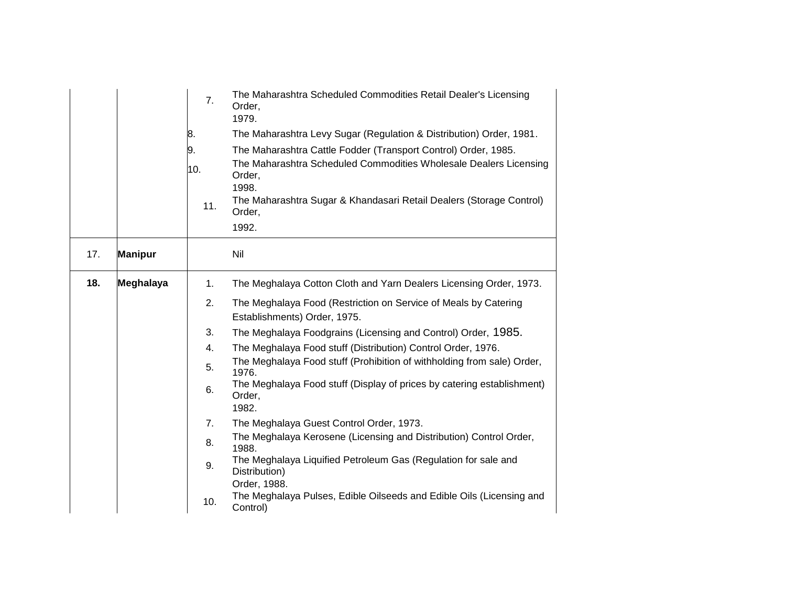|     |                | 7.  | The Maharashtra Scheduled Commodities Retail Dealer's Licensing<br>Order,            |
|-----|----------------|-----|--------------------------------------------------------------------------------------|
|     |                |     | 1979.                                                                                |
|     |                | 8.  | The Maharashtra Levy Sugar (Regulation & Distribution) Order, 1981.                  |
|     |                | 9.  | The Maharashtra Cattle Fodder (Transport Control) Order, 1985.                       |
|     |                | 10. | The Maharashtra Scheduled Commodities Wholesale Dealers Licensing<br>Order,<br>1998. |
|     |                | 11. | The Maharashtra Sugar & Khandasari Retail Dealers (Storage Control)<br>Order,        |
|     |                |     | 1992.                                                                                |
| 17. | <b>Manipur</b> |     | Nil                                                                                  |
| 18. | Meghalaya      | 1.  | The Meghalaya Cotton Cloth and Yarn Dealers Licensing Order, 1973.                   |
|     |                | 2.  | The Meghalaya Food (Restriction on Service of Meals by Catering                      |
|     |                |     | Establishments) Order, 1975.                                                         |
|     |                | 3.  | The Meghalaya Foodgrains (Licensing and Control) Order, 1985.                        |
|     |                | 4.  | The Meghalaya Food stuff (Distribution) Control Order, 1976.                         |
|     |                | 5.  | The Meghalaya Food stuff (Prohibition of withholding from sale) Order,<br>1976.      |
|     |                | 6.  | The Meghalaya Food stuff (Display of prices by catering establishment)<br>Order,     |
|     |                |     | 1982.                                                                                |
|     |                | 7.  | The Meghalaya Guest Control Order, 1973.                                             |
|     |                | 8.  | The Meghalaya Kerosene (Licensing and Distribution) Control Order,<br>1988.          |
|     |                | 9.  | The Meghalaya Liquified Petroleum Gas (Regulation for sale and<br>Distribution)      |
|     |                |     | Order, 1988.                                                                         |
|     |                | 10. | The Meghalaya Pulses, Edible Oilseeds and Edible Oils (Licensing and<br>Control)     |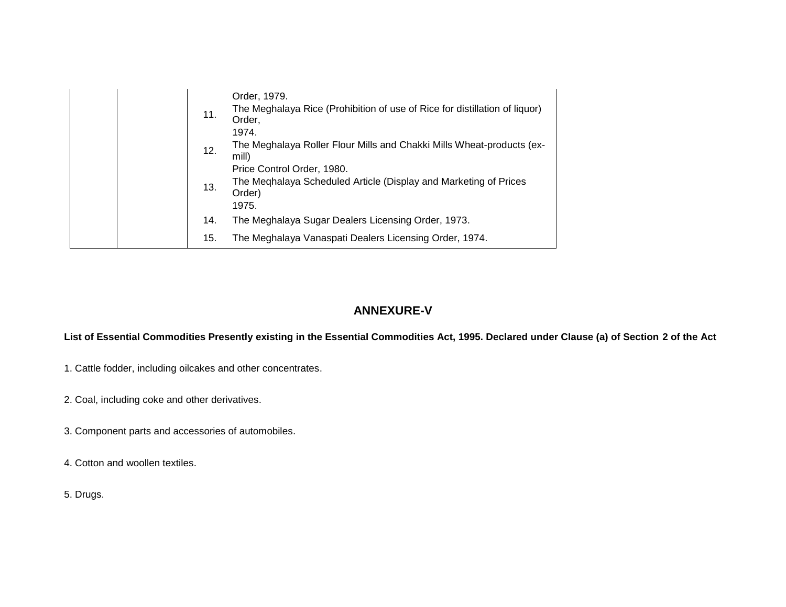|  | 11. | Order, 1979.<br>The Meghalaya Rice (Prohibition of use of Rice for distillation of liquor)<br>Order,<br>1974.     |
|--|-----|-------------------------------------------------------------------------------------------------------------------|
|  | 12. | The Meghalaya Roller Flour Mills and Chakki Mills Wheat-products (ex-<br>mill)                                    |
|  | 13. | Price Control Order, 1980.<br>The Meghalaya Scheduled Article (Display and Marketing of Prices<br>Order)<br>1975. |
|  | 14. | The Meghalaya Sugar Dealers Licensing Order, 1973.                                                                |
|  | 15. | The Meghalaya Vanaspati Dealers Licensing Order, 1974.                                                            |

# **ANNEXURE-V**

## **List of Essential Commodities Presently existing in the Essential Commodities Act, 1995. Declared under Clause (a) of Section 2 of the Act**

- 1. Cattle fodder, including oilcakes and other concentrates.
- 2. Coal, including coke and other derivatives.
- 3. Component parts and accessories of automobiles.
- 4. Cotton and woollen textiles.
- 5. Drugs.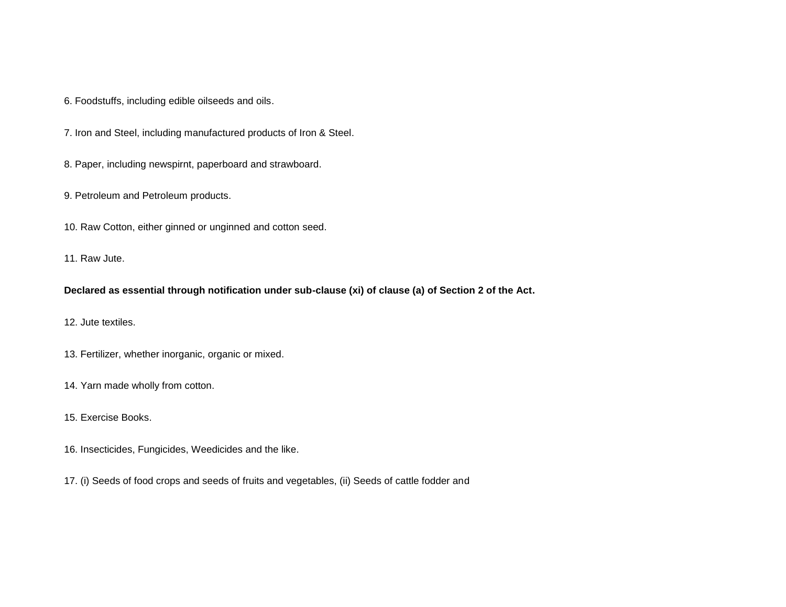6. Foodstuffs, including edible oilseeds and oils.

7. Iron and Steel, including manufactured products of Iron & Steel.

8. Paper, including newspirnt, paperboard and strawboard.

9. Petroleum and Petroleum products.

10. Raw Cotton, either ginned or unginned and cotton seed.

11. Raw Jute.

**Declared as essential through notification under sub-clause (xi) of clause (a) of Section 2 of the Act.**

12. Jute textiles.

13. Fertilizer, whether inorganic, organic or mixed.

14. Yarn made wholly from cotton.

15. Exercise Books.

16. Insecticides, Fungicides, Weedicides and the like.

17. (i) Seeds of food crops and seeds of fruits and vegetables, (ii) Seeds of cattle fodder and